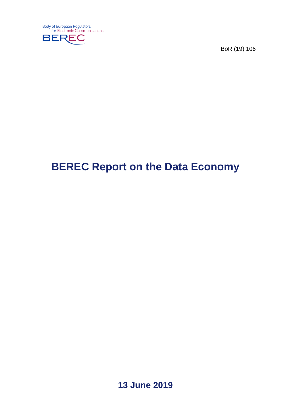

BoR (19) 106

# **BEREC Report on the Data Economy**

**13 June 2019**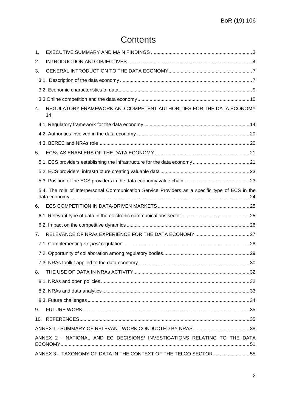# **Contents**

| 1. |                                                                                                 |  |
|----|-------------------------------------------------------------------------------------------------|--|
| 2. |                                                                                                 |  |
| 3. |                                                                                                 |  |
|    |                                                                                                 |  |
|    |                                                                                                 |  |
|    |                                                                                                 |  |
| 4. | REGULATORY FRAMEWORK AND COMPETENT AUTHORITIES FOR THE DATA ECONOMY<br>14                       |  |
|    |                                                                                                 |  |
|    |                                                                                                 |  |
|    |                                                                                                 |  |
| 5. |                                                                                                 |  |
|    |                                                                                                 |  |
|    |                                                                                                 |  |
|    |                                                                                                 |  |
|    | 5.4. The role of Interpersonal Communication Service Providers as a specific type of ECS in the |  |
| 6. |                                                                                                 |  |
|    |                                                                                                 |  |
|    |                                                                                                 |  |
| 7. |                                                                                                 |  |
|    |                                                                                                 |  |
|    |                                                                                                 |  |
|    |                                                                                                 |  |
| 8. |                                                                                                 |  |
|    |                                                                                                 |  |
|    |                                                                                                 |  |
|    |                                                                                                 |  |
| 9. |                                                                                                 |  |
|    |                                                                                                 |  |
|    |                                                                                                 |  |
|    | ANNEX 2 - NATIONAL AND EC DECISIONS/ INVESTIGATIONS RELATING TO THE DATA                        |  |
|    | ANNEX 3 - TAXONOMY OF DATA IN THE CONTEXT OF THE TELCO SECTOR  55                               |  |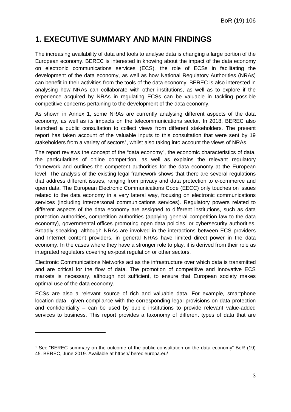# <span id="page-2-0"></span>**1. EXECUTIVE SUMMARY AND MAIN FINDINGS**

The increasing availability of data and tools to analyse data is changing a large portion of the European economy. BEREC is interested in knowing about the impact of the data economy on electronic communications services (ECS), the role of ECSs in facilitating the development of the data economy, as well as how National Regulatory Authorities (NRAs) can benefit in their activities from the tools of the data economy. BEREC is also interested in analysing how NRAs can collaborate with other institutions, as well as to explore if the experience acquired by NRAs in regulating ECSs can be valuable in tackling possible competitive concerns pertaining to the development of the data economy.

As shown in Annex 1, some NRAs are currently analysing different aspects of the data economy, as well as its impacts on the telecommunications sector. In 2018, BEREC also launched a public consultation to collect views from different stakeholders. The present report has taken account of the valuable inputs to this consultation that were sent by 19 stakeholders from a variety of sectors<sup>[1](#page-2-1)</sup>, whilst also taking into account the views of NRAs.

The report reviews the concept of the "data economy", the economic characteristics of data, the particularities of online competition, as well as explains the relevant regulatory framework and outlines the competent authorities for the data economy at the European level. The analysis of the existing legal framework shows that there are several regulations that address different issues, ranging from privacy and data protection to e-commerce and open data. The European Electronic Communications Code (EECC) only touches on issues related to the data economy in a very lateral way, focusing on electronic communications services (including interpersonal communications services). Regulatory powers related to different aspects of the data economy are assigned to different institutions, such as data protection authorities, competition authorities (applying general competition law to the data economy), governmental offices promoting open data policies, or cybersecurity authorities. Broadly speaking, although NRAs are involved in the interactions between ECS providers and Internet content providers, in general NRAs have limited direct power in the data economy. In the cases where they have a stronger role to play, it is derived from their role as integrated regulators covering ex-post regulation or other sectors.

Electronic Communications Networks act as the infrastructure over which data is transmitted and are critical for the flow of data. The promotion of competitive and innovative ECS markets is necessary, although not sufficient, to ensure that European society makes optimal use of the data economy.

ECSs are also a relevant source of rich and valuable data. For example, smartphone location data –given compliance with the corresponding legal provisions on data protection and confidentiality – can be used by public institutions to provide relevant value-added services to business. This report provides a taxonomy of different types of data that are

<span id="page-2-1"></span><sup>1</sup> See "BEREC summary on the outcome of the public consultation on the data economy" BoR (19) 45. BEREC, June 2019. Available at https:// berec.europa.eu/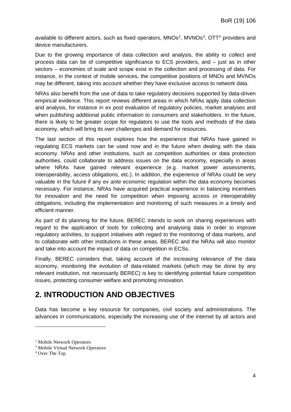available to different actors, such as fixed operators,  $MNOs<sup>2</sup>$  $MNOs<sup>2</sup>$  $MNOs<sup>2</sup>$ ,  $MVNOs<sup>3</sup>$  $MVNOs<sup>3</sup>$  $MVNOs<sup>3</sup>$ ,  $OTT<sup>4</sup>$  $OTT<sup>4</sup>$  $OTT<sup>4</sup>$  providers and device manufacturers.

Due to the growing importance of data collection and analysis, the ability to collect and process data can be of competitive significance to ECS providers, and  $-$  just as in other sectors – economies of scale and scope exist in the collection and processing of data. For instance, in the context of mobile services, the competitive positions of MNOs and MVNOs may be different, taking into account whether they have exclusive access to network data.

NRAs also benefit from the use of data to take regulatory decisions supported by data-driven empirical evidence. This report reviews different areas in which NRAs apply data collection and analysis, for instance in *ex post* evaluation of regulatory policies, market analyses and when publishing additional public information to consumers and stakeholders. In the future, there is likely to be greater scope for regulators to use the tools and methods of the data economy, which will bring its own challenges and demand for resources.

The last section of this report explores how the experience that NRAs have gained in regulating ECS markets can be used now and in the future when dealing with the data economy. NRAs and other institutions, such as competition authorities or data protection authorities, could collaborate to address issues on the data economy, especially in areas where NRAs have gained relevant experience (e.g. market power assessments, interoperability, access obligations, etc.). In addition, the experience of NRAs could be very valuable in the future if any *ex ante* economic regulation within the data economy becomes necessary. For instance, NRAs have acquired practical experience in balancing incentives for innovation and the need for competition when imposing access or interoperability obligations, including the implementation and monitoring of such measures in a timely and efficient manner.

As part of its planning for the future, BEREC intends to work on sharing experiences with regard to the application of tools for collecting and analysing data in order to improve regulatory activities, to support initiatives with regard to the monitoring of data markets, and to collaborate with other institutions in these areas. BEREC and the NRAs will also monitor and take into account the impact of data on competition in ECSs.

Finally, BEREC considers that, taking account of the increasing relevance of the data economy, monitoring the evolution of data-related markets (which may be done by any relevant institution, not necessarily BEREC) is key to identifying potential future competition issues, protecting consumer welfare and promoting innovation.

# <span id="page-3-0"></span>**2. INTRODUCTION AND OBJECTIVES**

Data has become a key resource for companies, civil society and administrations. The advances in communications, especially the increasing use of the internet by all actors and

<span id="page-3-1"></span><sup>2</sup> Mobile Network Operators

<span id="page-3-2"></span><sup>3</sup> Mobile Virtual Network Operators

<span id="page-3-3"></span><sup>4</sup> Over The Top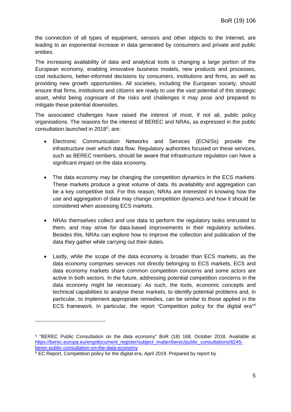the connection of all types of equipment, sensors and other objects to the Internet, are leading to an exponential increase in data generated by consumers and private and public entities.

The increasing availability of data and analytical tools is changing a large portion of the European economy, enabling innovative business models, new products and processes, cost reductions, better-informed decisions by consumers, institutions and firms, as well as providing new growth opportunities. All societies, including the European society, should ensure that firms, institutions and citizens are ready to use the vast potential of this strategic asset, whilst being cognisant of the risks and challenges it may pose and prepared to mitigate these potential downsides.

The associated challenges have raised the interest of most, if not all, public policy organisations. The reasons for the interest of BEREC and NRAs, as expressed in the public consultation launched in 2018[5](#page-4-0) , are:

- Electronic Communication Networks and Services (ECN/Ss) provide the infrastructure over which data flow. Regulatory authorities focused on these services, such as BEREC members, should be aware that infrastructure regulation can have a significant impact on the data economy.
- The data economy may be changing the competition dynamics in the ECS markets. These markets produce a great volume of data. Its availability and aggregation can be a key competitive tool. For this reason, NRAs are interested in knowing how the use and aggregation of data may change competition dynamics and how it should be considered when assessing ECS markets.
- NRAs themselves collect and use data to perform the regulatory tasks entrusted to them, and may strive for data-based improvements in their regulatory activities. Besides this, NRAs can explore how to improve the collection and publication of the data they gather while carrying out their duties.
- Lastly, while the scope of the data economy is broader than ECS markets, as the data economy comprises services not directly belonging to ECS markets, ECS and data economy markets share common competition concerns and some actors are active in both sectors. In the future, addressing potential competition concerns in the data economy might be necessary. As such, the tools, economic concepts and technical capabilities to analyse these markets, to identify potential problems and, in particular, to implement appropriate remedies, can be similar to those applied in the ECS framework. In particular, the report "Competition policy for the digital era" $6$

<span id="page-4-0"></span><sup>5</sup> "BEREC Public Consultation on the data economy" BoR (18) 168. October 2018. Available at [https://berec.europa.eu/eng/document\\_register/subject\\_matter/berec/public\\_consultations/8245](https://berec.europa.eu/eng/document_register/subject_matter/berec/public_consultations/8245-berec-public-consultation-on-the-data-economy) [berec-public-consultation-on-the-data-economy](https://berec.europa.eu/eng/document_register/subject_matter/berec/public_consultations/8245-berec-public-consultation-on-the-data-economy)

<span id="page-4-1"></span><sup>&</sup>lt;sup>6</sup> EC Report, Competition policy for the digital era, April 2019. Prepared by report by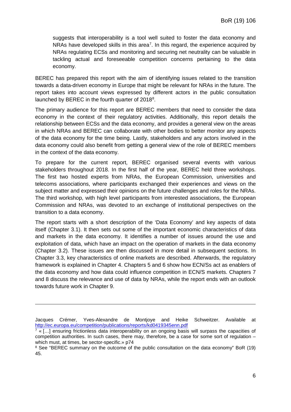suggests that interoperability is a tool well suited to foster the data economy and NRAs have developed skills in this area<sup>[7](#page-5-0)</sup>. In this regard, the experience acquired by NRAs regulating ECSs and monitoring and securing net neutrality can be valuable in tackling actual and foreseeable competition concerns pertaining to the data economy.

BEREC has prepared this report with the aim of identifying issues related to the transition towards a data-driven economy in Europe that might be relevant for NRAs in the future. The report takes into account views expressed by different actors in the public consultation launched by BEREC in the fourth quarter of 201[8](#page-5-1)<sup>8</sup>.

The primary audience for this report are BEREC members that need to consider the data economy in the context of their regulatory activities. Additionally, this report details the relationship between ECSs and the data economy, and provides a general view on the areas in which NRAs and BEREC can collaborate with other bodies to better monitor any aspects of the data economy for the time being. Lastly, stakeholders and any actors involved in the data economy could also benefit from getting a general view of the role of BEREC members in the context of the data economy.

To prepare for the current report, BEREC organised several events with various stakeholders throughout 2018. In the first half of the year, BEREC held three workshops. The first two hosted experts from NRAs, the European Commission, universities and telecoms associations, where participants exchanged their experiences and views on the subject matter and expressed their opinions on the future challenges and roles for the NRAs. The third workshop, with high level participants from interested associations, the European Commission and NRAs, was devoted to an exchange of institutional perspectives on the transition to a data economy.

The report starts with a short description of the 'Data Economy' and key aspects of data itself (Chapter 3.1). It then sets out some of the important economic characteristics of data and markets in the data economy. It identifies a number of issues around the use and exploitation of data, which have an impact on the operation of markets in the data economy (Chapter 3.2). These issues are then discussed in more detail in subsequent sections. In Chapter 3.3, key characteristics of online markets are described. Afterwards, the regulatory framework is explained in Chapter 4. Chapters 5 and 6 show how ECN/Ss act as enablers of the data economy and how data could influence competition in ECN/S markets. Chapters 7 and 8 discuss the relevance and use of data by NRAs, while the report ends with an outlook towards future work in Chapter 9.

Jacques Crémer, Yves-Alexandre de Montjoye and Heike Schweitzer. Available at <http://ec.europa.eu/competition/publications/reports/kd0419345enn.pdf>

<span id="page-5-0"></span> $7 \times$  [...] ensuring frictionless data interoperability on an ongoing basis will surpass the capacities of competition authorities. In such cases, there may, therefore, be a case for some sort of regulation – which must, at times, be sector-specific.» p74

<span id="page-5-1"></span><sup>&</sup>lt;sup>8</sup> See "BEREC summary on the outcome of the public consultation on the data economy" BoR (19) 45.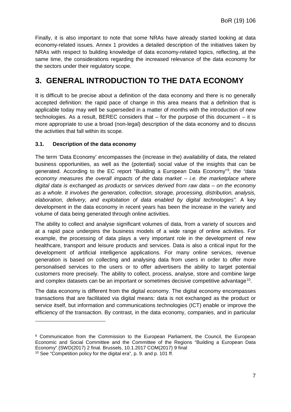Finally, it is also important to note that some NRAs have already started looking at data economy-related issues. Annex 1 provides a detailed description of the initiatives taken by NRAs with respect to building knowledge of data economy-related topics, reflecting, at the same time, the considerations regarding the increased relevance of the data economy for the sectors under their regulatory scope.

# <span id="page-6-0"></span>**3. GENERAL INTRODUCTION TO THE DATA ECONOMY**

It is difficult to be precise about a definition of the data economy and there is no generally accepted definition: the rapid pace of change in this area means that a definition that is applicable today may well be superseded in a matter of months with the introduction of new technologies. As a result, BEREC considers that – for the purpose of this document – it is more appropriate to use a broad (non-legal) description of the data economy and to discuss the activities that fall within its scope.

### <span id="page-6-1"></span>**3.1. Description of the data economy**

-

The term 'Data Economy' encompasses the (increase in the) availability of data, the related business opportunities, as well as the (potential) social value of the insights that can be generated. According to the EC report "Building a European Data Economy"[9](#page-6-2) , the *"data economy measures the overall impacts of the data market – i.e. the marketplace where digital data is exchanged as products or services derived from raw data – on the economy as a whole. It involves the generation, collection, storage, processing, distribution, analysis, elaboration, delivery, and exploitation of data enabled by digital technologies".* A key development in the data economy in recent years has been the increase in the variety and volume of data being generated through online activities.

The ability to collect and analyse significant volumes of data, from a variety of sources and at a rapid pace underpins the business models of a wide range of online activities. For example, the processing of data plays a very important role in the development of new healthcare, transport and leisure products and services. Data is also a critical input for the development of artificial intelligence applications. For many online services, revenue generation is based on collecting and analysing data from users in order to offer more personalised services to the users or to offer advertisers the ability to target potential customers more precisely. The ability to collect, process, analyse, store and combine large and complex datasets can be an important or sometimes decisive competitive advantage<sup>10</sup>.

The data economy is different from the digital economy. The digital economy encompasses transactions that are facilitated via digital means: data is not exchanged as the product or service itself, but information and communications technologies (ICT) enable or improve the efficiency of the transaction. By contrast, in the data economy, companies, and in particular

<span id="page-6-3"></span><span id="page-6-2"></span><sup>9</sup> Communication from the Commission to the European Parliament, the Council, the European Economic and Social Committee and the Committee of the Regions "Building a European Data Economy" {SWD(2017) 2 final. Brussels, 10.1.2017 COM(2017) 9 final <sup>10</sup> See "Competition policy for the digital era", p. 9. and p. 101 ff.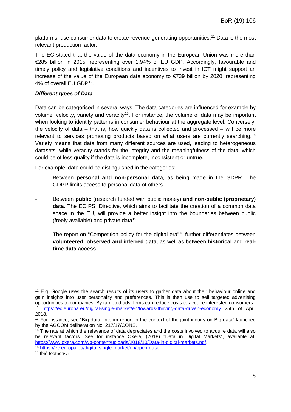platforms, use consumer data to create revenue-generating opportunities.<sup>[11](#page-7-0)</sup> Data is the most relevant production factor.

The EC stated that the value of the data economy in the European Union was more than €285 billion in 2015, representing over 1.94% of EU GDP. Accordingly, favourable and timely policy and legislative conditions and incentives to invest in ICT might support an increase of the value of the European data economy to €739 billion by 2020, representing 4% of overall EU GDP[12](#page-7-1).

### *Different types of Data*

Data can be categorised in several ways. The data categories are influenced for example by volume, velocity, variety and veracity<sup>[13](#page-7-2)</sup>. For instance, the volume of data may be important when looking to identify patterns in consumer behaviour at the aggregate level. Conversely, the velocity of data – that is, how quickly data is collected and processed – will be more relevant to services promoting products based on what users are currently searching.<sup>[14](#page-7-3)</sup> Variety means that data from many different sources are used, leading to heterogeneous datasets, while veracity stands for the integrity and the meaningfulness of the data, which could be of less quality if the data is incomplete, inconsistent or untrue.

For example, data could be distinguished in the categories:

- Between **personal and non-personal data**, as being made in the GDPR. The GDPR limits access to personal data of others.
- Between **public** (research funded with public money) **and non-public (proprietary) data**. The EC PSI Directive, which aims to facilitate the creation of a common data space in the EU, will provide a better insight into the boundaries between public (freely available) and private data<sup>15</sup>.
- The report on "Competition policy for the digital era"<sup>[16](#page-7-5)</sup> further differentiates between **volunteered**, **observed and inferred data**, as well as between **historical** and **realtime data access**.

<span id="page-7-0"></span><sup>&</sup>lt;sup>11</sup> E.g. Google uses the search results of its users to gather data about their behaviour online and gain insights into user personality and preferences. This is then use to sell targeted advertising opportunities to companies. By targeted ads, firms can reduce costs to acquire interested consumers. <sup>12</sup> <https://ec.europa.eu/digital-single-market/en/towards-thriving-data-driven-economy> 25th of April 2018.

<span id="page-7-2"></span><span id="page-7-1"></span><sup>&</sup>lt;sup>13</sup> For instance, see "Big data: Interim report in the context of the joint inquiry on Big data" launched by the AGCOM deliberation No. 217/17/CONS.

<span id="page-7-3"></span><sup>&</sup>lt;sup>14</sup> The rate at which the relevance of data depreciates and the costs involved to acquire data will also be relevant factors. See for instance Oxera, (2018) "Data in Digital Markets", available at: [https://www.oxera.com/wp-content/uploads/2018/10/Data-in-digital-markets.pdf.](https://www.oxera.com/wp-content/uploads/2018/10/Data-in-digital-markets.pdf) 15 <https://ec.europa.eu/digital-single-market/en/open-data>

<span id="page-7-5"></span><span id="page-7-4"></span><sup>&</sup>lt;sup>16</sup> Ibid footnote 3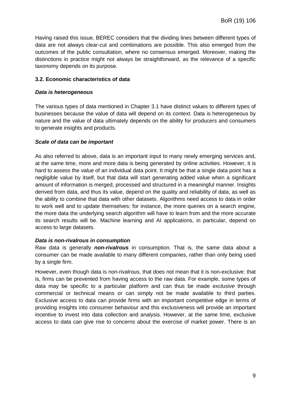Having raised this issue, BEREC considers that the dividing lines between different types of data are not always clear-cut and combinations are possible. This also emerged from the outcomes of the public consultation, where no consensus emerged. Moreover, making the distinctions in practice might not always be straightforward, as the relevance of a specific taxonomy depends on its purpose.

### <span id="page-8-0"></span>**3.2. Economic characteristics of data**

### *Data is heterogeneous*

The various types of data mentioned in Chapter 3.1 have distinct values to different types of businesses because the value of data will depend on its context. Data is heterogeneous by nature and the value of data ultimately depends on the ability for producers and consumers to generate insights and products.

### *Scale of data can be important*

As also referred to above, data is an important input to many newly emerging services and, at the same time, more and more data is being generated by online activities. However, it is hard to assess the value of an individual data point. It might be that a single data point has a negligible value by itself, but that data will start generating added value when a significant amount of information is merged, processed and structured in a meaningful manner. Insights derived from data, and thus its value, depend on the quality and reliability of data, as well as the ability to combine that data with other datasets. Algorithms need access to data in order to work well and to update themselves: for instance, the more queries on a search engine, the more data the underlying search algorithm will have to learn from and the more accurate its search results will be. Machine learning and AI applications, in particular, depend on access to large datasets.

### *Data is non-rivalrous in consumption*

Raw data is generally *non-rivalrous* in consumption. That is, the same data about a consumer can be made available to many different companies, rather than only being used by a single firm.

However, even though data is non-rivalrous, that does not mean that it is non-exclusive: that is, firms can be prevented from having access to the raw data. For example, some types of data may be specific to a particular platform and can thus be made *exclusive* through commercial or technical means or can simply not be made available to third parties. Exclusive access to data can provide firms with an important competitive edge in terms of providing insights into consumer behaviour and this exclusiveness will provide an important incentive to invest into data collection and analysis. However, at the same time, exclusive access to data can give rise to concerns about the exercise of market power. There is an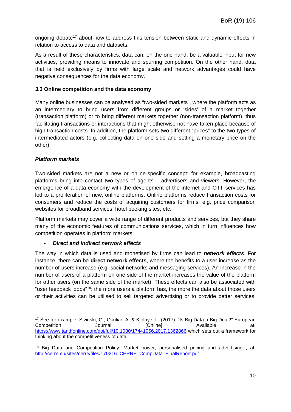ongoing debate<sup>[17](#page-9-1)</sup> about how to address this tension between static and dynamic effects in relation to access to data and datasets.

As a result of these characteristics, data can, on the one hand, be a valuable input for new activities, providing means to innovate and spurring competition. On the other hand, data that is held exclusively by firms with large scale and network advantages could have negative consequences for the data economy.

### <span id="page-9-0"></span>**3.3 Online competition and the data economy**

Many online businesses can be analysed as "two-sided markets", where the platform acts as an intermediary to bring users from different groups or 'sides' of a market together (transaction platform) or to bring different markets together (non-transaction platform), thus facilitating transactions or interactions that might otherwise not have taken place because of high transaction costs. In addition, the platform sets two different "prices" to the two types of intermediated actors (e.g. collecting data on one side and setting a monetary price on the other).

### *Platform markets*

-

Two-sided markets are not a new or online-specific concept: for example, broadcasting platforms bring into contact two types of agents – advertisers and viewers. However, the emergence of a data economy with the development of the internet and OTT services has led to a proliferation of new, online platforms. Online platforms reduce transaction costs for consumers and reduce the costs of acquiring customers for firms: e.g. price comparison websites for broadband services, hotel booking sites, etc.

Platform markets may cover a wide range of different products and services, but they share many of the economic features of communications services, which in turn influences how competition operates in platform markets:

### - *Direct and indirect network effects*

The way in which data is used and monetised by firms can lead to *network effects*. For instance, there can be **direct network effects**, where the benefits to a user increase as the number of users increase (e.g. social networks and messaging services). An increase in the number of users of a platform on one side of the market increases the value of the platform for other users (on the same side of the market). These effects can also be associated with "user feedback loops"<sup>[18](#page-9-2)</sup>: the more users a platform has, the more the data about those users or their activities can be utilised to sell targeted advertising or to provide better services,

<span id="page-9-1"></span><sup>17</sup> See for example, Sivinski, G., Okuliar, A. & Kjolbye, L. (2017). "Is Big Data a Big Deal?" European Competition Journal [Online] Available at: <https://www.tandfonline.com/doi/full/10.1080/17441056.2017.1362866> which sets out a framework for thinking about the competitiveness of data.

<span id="page-9-2"></span><sup>&</sup>lt;sup>18</sup> Big Data and Competition Policy: Market power, personalised pricing and advertising, at: [http://cerre.eu/sites/cerre/files/170216\\_CERRE\\_CompData\\_FinalReport.pdf](http://cerre.eu/sites/cerre/files/170216_CERRE_CompData_FinalReport.pdf)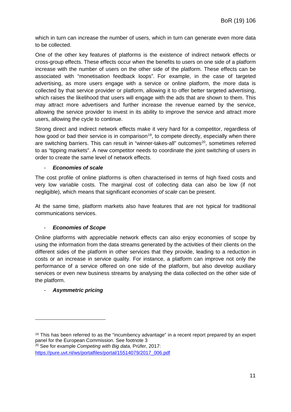which in turn can increase the number of users, which in turn can generate even more data to be collected.

One of the other key features of platforms is the existence of indirect network effects or cross-group effects. These effects occur when the benefits to users on one side of a platform increase with the number of users on the other side of the platform. These effects can be associated with "monetisation feedback loops". For example, in the case of targeted advertising, as more users engage with a service or online platform, the more data is collected by that service provider or platform, allowing it to offer better targeted advertising, which raises the likelihood that users will engage with the ads that are shown to them. This may attract more advertisers and further increase the revenue earned by the service, allowing the service provider to invest in its ability to improve the service and attract more users, allowing the cycle to continue.

Strong direct and indirect network effects make it very hard for a competitor, regardless of how good or bad their service is in comparison<sup>[19](#page-10-0)</sup>, to compete directly, especially when there are switching barriers. This can result in "winner-takes-all" outcomes<sup>[20](#page-10-1)</sup>, sometimes referred to as "tipping markets". A new competitor needs to coordinate the joint switching of users in order to create the same level of network effects.

### - *Economies of scale*

The cost profile of online platforms is often characterised in terms of high fixed costs and very low variable costs. The marginal cost of collecting data can also be low (if not negligible), which means that significant *economies of scale* can be present.

At the same time, platform markets also have features that are not typical for traditional communications services.

### - *Economies of Scope*

Online platforms with appreciable network effects can also enjoy economies of scope by using the information from the data streams generated by the activities of their clients on the different sides of the platform in other services that they provide, leading to a reduction in costs or an increase in service quality. For instance, a platform can improve not only the performance of a service offered on one side of the platform, but also develop auxiliary services or even new business streams by analysing the data collected on the other side of the platform.

### - *Asymmetric pricing*

-

<span id="page-10-1"></span>[https://pure.uvt.nl/ws/portalfiles/portal/15514079/2017\\_006.pdf](https://pure.uvt.nl/ws/portalfiles/portal/15514079/2017_006.pdf)

<span id="page-10-0"></span><sup>&</sup>lt;sup>19</sup> This has been referred to as the "incumbency advantage" in a recent report prepared by an expert panel for the European Commission. See footnote 3 <sup>20</sup> See for example *Competing with Big data*, Prüfer, 2017: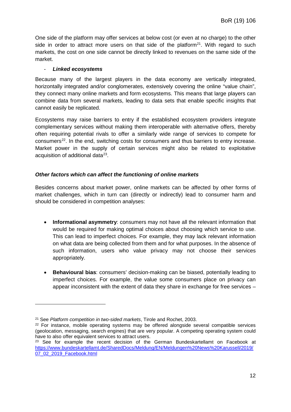One side of the platform may offer services at below cost (or even at no charge) to the other side in order to attract more users on that side of the platform<sup>21</sup>. With regard to such markets, the cost on one side cannot be directly linked to revenues on the same side of the market.

### - *Linked ecosystems*

Because many of the largest players in the data economy are vertically integrated, horizontally integrated and/or conglomerates, extensively covering the online "value chain", they connect many online markets and form ecosystems. This means that large players can combine data from several markets, leading to data sets that enable specific insights that cannot easily be replicated.

Ecosystems may raise barriers to entry if the established ecosystem providers integrate complementary services without making them interoperable with alternative offers, thereby often requiring potential rivals to offer a similarly wide range of services to compete for consumers<sup>[22](#page-11-1)</sup>. In the end, switching costs for consumers and thus barriers to entry increase. Market power in the supply of certain services might also be related to exploitative acquisition of additional data<sup>[23](#page-11-2)</sup>.

### *Other factors which can affect the functioning of online markets*

Besides concerns about market power, online markets can be affected by other forms of market challenges, which in turn can (directly or indirectly) lead to consumer harm and should be considered in competition analyses:

- **Informational asymmetry**: consumers may not have all the relevant information that would be required for making optimal choices about choosing which service to use. This can lead to imperfect choices. For example, they may lack relevant information on what data are being collected from them and for what purposes. In the absence of such information, users who value privacy may not choose their services appropriately.
- **Behavioural bias**: consumers' decision-making can be biased, potentially leading to imperfect choices. For example, the value some consumers place on privacy can appear inconsistent with the extent of data they share in exchange for free services –

<span id="page-11-0"></span><sup>21</sup> See *Platform competition in two-sided markets*, Tirole and Rochet, 2003.

<span id="page-11-1"></span> $22$  For instance, mobile operating systems may be offered alongside several compatible services (geolocation, messaging, search engines) that are very popular. A competing operating system could have to also offer equivalent services to attract users.

<span id="page-11-2"></span><sup>&</sup>lt;sup>23</sup> See for example the recent decision of the German Bundeskartellamt on Facebook at [https://www.bundeskartellamt.de/SharedDocs/Meldung/EN/Meldungen%20News%20Karussell/2019/](https://www.bundeskartellamt.de/SharedDocs/Meldung/EN/Meldungen%20News%20Karussell/2019/07_02_2019_Facebook.html) [07\\_02\\_2019\\_Facebook.html](https://www.bundeskartellamt.de/SharedDocs/Meldung/EN/Meldungen%20News%20Karussell/2019/07_02_2019_Facebook.html)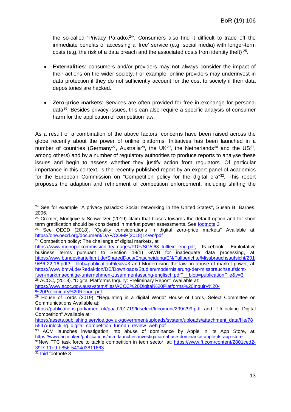the so-called 'Privacy Paradox<sup>24</sup>'. Consumers also find it difficult to trade off the immediate benefits of accessing a 'free' service (e.g. social media) with longer-term costs (e.g. the risk of a data breach and the associated costs from identity theft)  $25$ .

- **Externalities**: consumers and/or providers may not always consider the impact of their actions on the wider society. For example, online providers may underinvest in data protection if they do not sufficiently account for the cost to society if their data depositories are hacked.
- **Zero-price markets**: Services are often provided for free in exchange for personal data<sup>26</sup>. Besides privacy issues, this can also require a specific analysis of consumer harm for the application of competition law.

As a result of a combination of the above factors, concerns have been raised across the globe recently about the power of online platforms. Initiatives has been launched in a number of countries (Germany<sup>27</sup>, Australia<sup>[28](#page-12-4)</sup>, the UK<sup>[29](#page-12-5)</sup>, the Netherlands<sup>[30](#page-12-6)</sup> and the US<sup>[31](#page-12-7)</sup>, among others) and by a number of regulatory authorities to produce reports to analyse these issues and begin to assess whether they justify action from regulators. Of particular importance in this context, is the recently published report by an expert panel of academics for the European Commission on "Competition policy for the digital era"<sup>[32](#page-12-8)</sup>. This report proposes the adaption and refinement of competition enforcement, including shifting the

<span id="page-12-3"></span><sup>27</sup> Competition policy: The challenge of digital markets, at:

<span id="page-12-4"></span><sup>28</sup> ACCC, (2018). "Digital Platforms Inquiry: Preliminary Report" Available at: [https://www.accc.gov.au/system/files/ACCC%20Digital%20Platforms%20Inquiry%20-](https://www.accc.gov.au/system/files/ACCC%20Digital%20Platforms%20Inquiry%20-%20Preliminary%20Report.pdf)

<span id="page-12-8"></span> $32$  Ibid footnote 3

<span id="page-12-0"></span><sup>&</sup>lt;sup>24</sup> See for example "A privacy paradox: Social networking in the United States", Susan B. Barnes, 2006.

<span id="page-12-1"></span><sup>&</sup>lt;sup>25</sup> Crémer, Montjoye & Schweitzer (2019) claim that biases towards the default option and for short term gratification should be considered in market power assessments. See footnote 3

<span id="page-12-2"></span><sup>&</sup>lt;sup>26</sup> See OECD (2018). "Quality considerations in digital zero-price markets" Available at: [https://one.oecd.org/document/DAF/COMP\(2018\)14/en/pdf](https://one.oecd.org/document/DAF/COMP(2018)14/en/pdf)

[https://www.monopolkommission.de/images/PDF/SG/s68\\_fulltext\\_eng.pdf,](https://www.monopolkommission.de/images/PDF/SG/s68_fulltext_eng.pdf) Facebook, Exploitative business terms pursuant to Section 19(1) GWB for inadequate data processing, at: [https://www.bundeskartellamt.de/SharedDocs/Entscheidung/EN/Fallberichte/Missbrauchsaufsicht/201](https://www.bundeskartellamt.de/SharedDocs/Entscheidung/EN/Fallberichte/Missbrauchsaufsicht/2019/B6-22-16.pdf?__blob=publicationFile&v=3) 9/B6-22-16.pdf? blob=publicationFile&v=3 and Modernising the law on abuse of market power, at: [https://www.bmwi.de/Redaktion/DE/Downloads/Studien/modernisierung-der-missbrauchsaufsicht](https://www.bmwi.de/Redaktion/DE/Downloads/Studien/modernisierung-der-missbrauchsaufsicht-fuer-marktmaechtige-unternehmen-zusammenfassung-englisch.pdf?__blob=publicationFile&v=3)[fuer-marktmaechtige-unternehmen-zusammenfassung-englisch.pdf?\\_\\_blob=publicationFile&v=3](https://www.bmwi.de/Redaktion/DE/Downloads/Studien/modernisierung-der-missbrauchsaufsicht-fuer-marktmaechtige-unternehmen-zusammenfassung-englisch.pdf?__blob=publicationFile&v=3)

[<sup>%20</sup>Preliminary%20Report.pdf](https://www.accc.gov.au/system/files/ACCC%20Digital%20Platforms%20Inquiry%20-%20Preliminary%20Report.pdf)

<span id="page-12-5"></span> $29$  House of Lords (2019). "Regulating in a digital World" House of Lords, Select Committee on Communications Available at:

<https://publications.parliament.uk/pa/ld201719/ldselect/ldcomuni/299/299.pdf> and "Unlocking Digital Competition" Available at:

[https://assets.publishing.service.gov.uk/government/uploads/system/uploads/attachment\\_data/file/78](https://assets.publishing.service.gov.uk/government/uploads/system/uploads/attachment_data/file/785547/unlocking_digital_competition_furman_review_web.pdf) 5547/unlocking digital competition furman review web.pdf

<span id="page-12-6"></span><sup>30</sup> ACM launches investigation into abuse of dominance by Apple in its App Store, at: <https://www.acm.nl/en/publications/acm-launches-investigation-abuse-dominance-apple-its-app-store>

<span id="page-12-7"></span><sup>31</sup>New FTC task force to tackle competition in tech sector, at: [https://www.ft.com/content/2801ced2-](https://www.ft.com/content/2801ced2-39f7-11e9-b856-5404d3811663) [39f7-11e9-b856-5404d3811663](https://www.ft.com/content/2801ced2-39f7-11e9-b856-5404d3811663)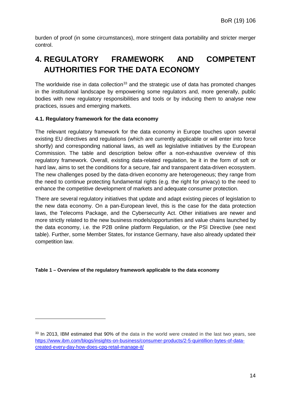burden of proof (in some circumstances), more stringent data portability and stricter merger control.

# <span id="page-13-0"></span>**4. REGULATORY FRAMEWORK AND COMPETENT AUTHORITIES FOR THE DATA ECONOMY**

The worldwide rise in data collection<sup>[33](#page-13-2)</sup> and the strategic use of data has promoted changes in the institutional landscape by empowering some regulators and, more generally, public bodies with new regulatory responsibilities and tools or by inducing them to analyse new practices, issues and emerging markets.

### <span id="page-13-1"></span>**4.1. Regulatory framework for the data economy**

-

The relevant regulatory framework for the data economy in Europe touches upon several existing EU directives and regulations (which are currently applicable or will enter into force shortly) and corresponding national laws, as well as legislative initiatives by the European Commission. The table and description below offer a non-exhaustive overview of this regulatory framework. Overall, existing data-related regulation, be it in the form of soft or hard law, aims to set the conditions for a secure, fair and transparent data-driven ecosystem. The new challenges posed by the data-driven economy are heterogeneous; they range from the need to continue protecting fundamental rights (e.g. the right for privacy) to the need to enhance the competitive development of markets and adequate consumer protection.

There are several regulatory initiatives that update and adapt existing pieces of legislation to the new data economy. On a pan-European level, this is the case for the data protection laws, the Telecoms Package, and the Cybersecurity Act. Other initiatives are newer and more strictly related to the new business models/opportunities and value chains launched by the data economy, i.e. the P2B online platform Regulation, or the PSI Directive (see next table). Further, some Member States, for instance Germany, have also already updated their competition law.

### **Table 1 – Overview of the regulatory framework applicable to the data economy**

<span id="page-13-2"></span><sup>&</sup>lt;sup>33</sup> In 2013, IBM estimated that 90% of the data in the world were created in the last two years, see [https://www.ibm.com/blogs/insights-on-business/consumer-products/2-5-quintillion-bytes-of-data](https://www.ibm.com/blogs/insights-on-business/consumer-products/2-5-quintillion-bytes-of-data-created-every-day-how-does-cpg-retail-manage-it/)[created-every-day-how-does-cpg-retail-manage-it/](https://www.ibm.com/blogs/insights-on-business/consumer-products/2-5-quintillion-bytes-of-data-created-every-day-how-does-cpg-retail-manage-it/)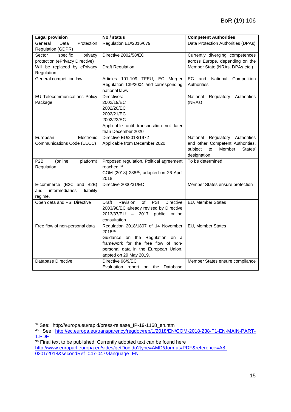| <b>Legal provision</b>                                                     | No / status                                                                                                                                                                               | <b>Competent Authorities</b>                                                                                                |  |
|----------------------------------------------------------------------------|-------------------------------------------------------------------------------------------------------------------------------------------------------------------------------------------|-----------------------------------------------------------------------------------------------------------------------------|--|
| General<br>Data<br>Protection<br>Regulation (GDPR)                         | Regulation EU/2016/679                                                                                                                                                                    | Data Protection Authorities (DPAs)                                                                                          |  |
| specific<br>Sector<br>privacy<br>protection (ePrivacy Directive)           | Directive 2002/58/EC<br>Currently diverging competences<br>across Europe, depending on the                                                                                                |                                                                                                                             |  |
| Will be replaced by ePrivacy<br>Regulation                                 | <b>Draft Regulation</b>                                                                                                                                                                   | Member State (NRAs, DPAs etc.)                                                                                              |  |
| General competition law                                                    | Articles 101-109 TFEU, EC Merger<br>Regulation 139/2004 and corresponding<br>national laws                                                                                                | and<br>National<br>EC<br>Competition<br>Authorities                                                                         |  |
| EU Telecommunications Policy<br>Package                                    | Directives:<br>2002/19/EC<br>2002/20/EC<br>2002/21/EC<br>2002/22/EC<br>Applicable until transposition not later<br>than December 2020                                                     | National<br>Regulatory Authorities<br>(NRAs)                                                                                |  |
| Electronic<br>European<br>Communications Code (EECC)                       | Directive EU/2018/1972<br>Applicable from December 2020                                                                                                                                   | Regulatory Authorities<br>National<br>and other Competent Authorities,<br>subject<br>Member<br>States'<br>to<br>designation |  |
| P <sub>2</sub> B<br>(online<br>platform)<br>Regulation                     | Proposed regulation. Political agreement<br>reached. $34$<br>COM (2018) 238 <sup>35</sup> , adopted on 26 April<br>2018                                                                   | To be determined.                                                                                                           |  |
| E-commerce (B2C and B2B)<br>intermediaries'<br>liability<br>and<br>regime. | Directive 2000/31/EC                                                                                                                                                                      | Member States ensure protection                                                                                             |  |
| Open data and PSI Directive                                                | PSI<br>Revision<br>of<br><b>Directive</b><br>Draft<br>2003/98/EC already revised by Directive<br>2013/37/EU - 2017 public<br>online<br>consultation                                       | EU, Member States                                                                                                           |  |
| Free flow of non-personal data                                             | Regulation 2018/1807 of 14 November<br>201836<br>Guidance on the Regulation on a<br>framework for the free flow of non-<br>personal data in the European Union,<br>adpted on 29 May 2019. | EU, Member States                                                                                                           |  |
| Database Directive                                                         | Directive 96/9/EC<br>Database<br>Evaluation report on the                                                                                                                                 | Member States ensure compliance                                                                                             |  |

<span id="page-14-0"></span><sup>34</sup> See: http://europa.eu/rapid/press-release\_IP-19-1168\_en.htm

<span id="page-14-1"></span><sup>35</sup> See [http://ec.europa.eu/transparency/regdoc/rep/1/2018/EN/COM-2018-238-F1-EN-MAIN-PART-](http://ec.europa.eu/transparency/regdoc/rep/1/2018/EN/COM-2018-238-F1-EN-MAIN-PART-1.PDF)[1.PDF](http://ec.europa.eu/transparency/regdoc/rep/1/2018/EN/COM-2018-238-F1-EN-MAIN-PART-1.PDF)

<span id="page-14-2"></span> $\frac{1.1 \text{ E1}}{36}$  Final text to be published. Currently adopted text can be found here [http://www.europarl.europa.eu/sides/getDoc.do?type=AMD&format=PDF&reference=A8-](http://www.europarl.europa.eu/sides/getDoc.do?type=AMD&format=PDF&reference=A8-0201/2018&secondRef=047-047&language=EN) [0201/2018&secondRef=047-047&language=EN](http://www.europarl.europa.eu/sides/getDoc.do?type=AMD&format=PDF&reference=A8-0201/2018&secondRef=047-047&language=EN)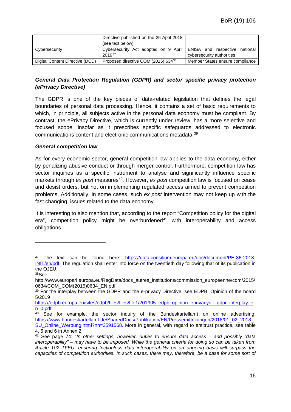|                                                                                      | Directive published on the 25 April 2018        |                                       |  |
|--------------------------------------------------------------------------------------|-------------------------------------------------|---------------------------------------|--|
|                                                                                      | (see text below)                                |                                       |  |
| Cybersecurity Act adopted on 9 April ENISA and respective<br>Cybersecurity<br>201937 |                                                 | national<br>cybersecurity authorities |  |
| Digital Content Directive (DCD)                                                      | Proposed directive COM (2015) 634 <sup>38</sup> | Member States ensure compliance       |  |

### *General Data Protection Regulation (GDPR) and sector specific privacy protection (ePrivacy Directive)*

The GDPR is one of the key pieces of data-related legislation that defines the legal boundaries of personal data processing. Hence, it contains a set of basic requirements to which, in principle, all subjects active in the personal data economy must be compliant. By contrast, the ePrivacy Directive, which is currently under review, has a more selective and focused scope, insofar as it prescribes specific safeguards addressed to electronic communications content and electronic communications metadata.[39](#page-15-0)

### *General competition law*

As for every economic sector, general competition law applies to the data economy, either by penalizing abusive conduct or through merger control. Furthermore, competition law has sector inquiries as a specific instrument to analyse and significantly influence specific markets through *ex post* measures<sup>40</sup>. However, *ex post* competition law is focused on cease and desist orders, but not on implementing regulated access aimed to prevent competition problems. Additionally, in some cases, such *ex post* intervention may not keep up with the fast changing issues related to the data economy.

It is interesting to also mention that, according to the report "Competition policy for the digital era", competition policy might be overburdened $41$  with interoperability and access obligations.

<span id="page-15-3"></span><sup>37</sup> The text can be found here: [https://data.consilium.europa.eu/doc/document/PE-86-2018-](https://data.consilium.europa.eu/doc/document/PE-86-2018-INIT/en/pdf) [INIT/en/pdf.](https://data.consilium.europa.eu/doc/document/PE-86-2018-INIT/en/pdf) The regulation shall enter into force on the twentieth day following that of its publication in the OJEU.

<span id="page-15-4"></span><sup>38</sup>See

http://www.europarl.europa.eu/RegData/docs\_autres\_institutions/commission\_europeenne/com/2015/ 0634/COM\_COM(2015)0634\_EN.pdf

<span id="page-15-0"></span><sup>&</sup>lt;sup>39</sup> For the interplay between the GDPR and the e-privacy Directive, see EDPB, Opinion of the board 5/2019

[https://edpb.europa.eu/sites/edpb/files/files/file1/201905\\_edpb\\_opinion\\_eprivacydir\\_gdpr\\_interplay\\_e](https://edpb.europa.eu/sites/edpb/files/files/file1/201905_edpb_opinion_eprivacydir_gdpr_interplay_en_0.pdf) [n\\_0.pdf](https://edpb.europa.eu/sites/edpb/files/files/file1/201905_edpb_opinion_eprivacydir_gdpr_interplay_en_0.pdf)

<span id="page-15-1"></span> $40$  See for example, the sector inquiry of the Bundeskartellamt on online advertising, [https://www.bundeskartellamt.de/SharedDocs/Publikation/EN/Pressemitteilungen/2018/01\\_02\\_2018\\_](https://www.bundeskartellamt.de/SharedDocs/Publikation/EN/Pressemitteilungen/2018/01_02_2018_SU_Online_Werbung.html?nn=3591568) [SU\\_Online\\_Werbung.html?nn=3591568.](https://www.bundeskartellamt.de/SharedDocs/Publikation/EN/Pressemitteilungen/2018/01_02_2018_SU_Online_Werbung.html?nn=3591568) More in general, with regard to antitrust practice, see table 4, 5 and 6 in Annex 2.

<span id="page-15-2"></span><sup>41</sup> See page 74: "*In other settings, however, duties to ensure data access – and possibly "data interoperability" – may have to be imposed. While the general criteria for doing so can be taken from Article 102 TFEU, ensuring frictionless data interoperability on an ongoing basis will surpass the capacities of competition authorities. In such cases, there may, therefore, be a case for some sort of*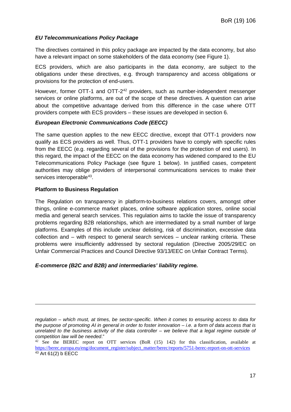### *EU Telecommunications Policy Package*

The directives contained in this policy package are impacted by the data economy, but also have a relevant impact on some stakeholders of the data economy (see [Figure 1\)](#page-20-2).

ECS providers, which are also participants in the data economy, are subject to the obligations under these directives, e.g. through transparency and access obligations or provisions for the protection of end-users.

However, former OTT-1 and OTT-2<sup>[42](#page-16-0)</sup> providers, such as number-independent messenger services or online platforms, are out of the scope of these directives. A question can arise about the competitive advantage derived from this difference in the case where OTT providers compete with ECS providers – these issues are developed in section 6.

### *European Electronic Communications Code (EECC)*

The same question applies to the new EECC directive, except that OTT-1 providers now qualify as ECS providers as well. Thus, OTT-1 providers have to comply with specific rules from the EECC (e.g. regarding several of the provisions for the protection of end users). In this regard, the impact of the EECC on the data economy has widened compared to the EU Telecommunications Policy Package (see figure 1 below). In justified cases, competent authorities may oblige providers of interpersonal communications services to make their services interoperable<sup>43</sup>.

### **Platform to Business Regulation**

-

The Regulation on transparency in platform-to-business relations covers, amongst other things, online e-commerce market places, online software application stores, online social media and general search services. This regulation aims to tackle the issue of transparency problems regarding B2B relationships, which are intermediated by a small number of large platforms. Examples of this include unclear delisting, risk of discrimination, excessive data collection and – with respect to general search services – unclear ranking criteria. These problems were insufficiently addressed by sectoral regulation (Directive 2005/29/EC on Unfair Commercial Practices and Council Directive 93/13/EEC on Unfair Contract Terms).

### *E-commerce (B2C and B2B) and intermediaries' liability regime.*

*regulation – which must, at times, be sector-specific. When it comes to ensuring access to data for the purpose of promoting AI in general in order to foster innovation – i.e. a form of data access that is unrelated to the business activity of the data controller – we believe that a legal regime outside of competition law will be needed*."

<span id="page-16-1"></span><span id="page-16-0"></span> $42$  See the BEREC report on OTT services (BoR (15) 142) for this classification, available at [https://berec.europa.eu/eng/document\\_register/subject\\_matter/berec/reports/5751-berec-report-on-ott-services](https://berec.europa.eu/eng/document_register/subject_matter/berec/reports/5751-berec-report-on-ott-services)  $43$  Art 61(2) b EECC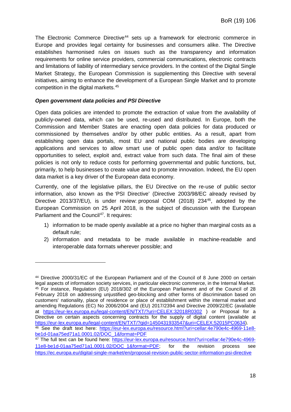The Electronic Commerce Directive<sup>[44](#page-17-0)</sup> sets up a framework for electronic commerce in Europe and provides legal certainty for businesses and consumers alike. The Directive establishes harmonised rules on issues such as the transparency and information requirements for online service providers, commercial communications, electronic contracts and limitations of liability of intermediary service providers. In the context of the Digital Single Market Strategy, the European Commission is supplementing this Directive with several initiatives, aiming to enhance the development of a European Single Market and to promote competition in the digital markets. [45](#page-17-1)

### *Open government data policies and PSI Directive*

-

Open data policies are intended to promote the extraction of value from the availability of publicly-owned data, which can be used, re-used and distributed. In Europe, both the Commission and Member States are enacting open data policies for data produced or commissioned by themselves and/or by other public entities. As a result, apart from establishing open data portals, most EU and national public bodies are developing applications and services to allow smart use of public open data and/or to facilitate opportunities to select, exploit and, extract value from such data. The final aim of these policies is not only to reduce costs for performing governmental and public functions, but, primarily, to help businesses to create value and to promote innovation. Indeed, the EU open data market is a key driver of the European data economy.

Currently, one of the legislative pillars, the EU Directive on the re-use of public sector information, also known as the 'PSI Directive' [\(Directive 2003/98/EC](http://eur-lex.europa.eu/legal-content/en/ALL/?uri=CELEX:32003L0098) already revised by [Directive 2013/37/EU\)](http://eur-lex.europa.eu/legal-content/FR/ALL/?uri=CELEX:32013L0037), is under review: proposal COM (2018) 234<sup>46</sup>, adopted by the European Commission on 25 April 2018, is the subject of discussion with the European Parliament and the Council<sup>[47](#page-17-3)</sup>. It requires:

- 1) information to be made openly available at a price no higher than marginal costs as a default rule;
- 2) information and metadata to be made available in machine-readable and interoperable data formats wherever possible; and

<span id="page-17-1"></span><span id="page-17-0"></span><sup>44</sup> Directive 2000/31/EC of the European Parliament and of the Council of 8 June 2000 on certain legal aspects of information society services, in particular electronic commerce, in the Internal Market. <sup>45</sup> For instance, Regulation (EU) 2018/302 of the European Parliament and of the Council of 28 February 2018 on addressing unjustified geo-blocking and other forms of discrimination based on customers' nationality, place of residence or place of establishment within the internal market and amending Regulations (EC) No 2006/2004 and (EU) 2017/2394 and Directive 2009/22/EC (available at <https://eur-lex.europa.eu/legal-content/EN/TXT/?uri=CELEX:32018R0302> ) or Proposal for a Directive on certain aspects concerning contracts for the supply of digital content (available at [https://eur-lex.europa.eu/legal-content/EN/TXT/?qid=1450431933547&uri=CELEX:52015PC0634\)](https://eur-lex.europa.eu/legal-content/EN/TXT/?qid=1450431933547&uri=CELEX:52015PC0634). <sup>46</sup> See the draft text here: [https://eur-lex.europa.eu/resource.html?uri=cellar:4e790e4c-4969-11e8](https://eur-lex.europa.eu/resource.html?uri=cellar:4e790e4c-4969-11e8-be1d-01aa75ed71a1.0001.02/DOC_1&format=PDF) [be1d-01aa75ed71a1.0001.02/DOC\\_1&format=PDF](https://eur-lex.europa.eu/resource.html?uri=cellar:4e790e4c-4969-11e8-be1d-01aa75ed71a1.0001.02/DOC_1&format=PDF)

<span id="page-17-3"></span><span id="page-17-2"></span><sup>&</sup>lt;sup>47</sup> The full text can be found here: [https://eur-lex.europa.eu/resource.html?uri=cellar:4e790e4c-4969-](https://eur-lex.europa.eu/resource.html?uri=cellar:4e790e4c-4969-11e8-be1d-01aa75ed71a1.0001.02/DOC_1&format=PDF) [11e8-be1d-01aa75ed71a1.0001.02/DOC\\_1&format=PDF;](https://eur-lex.europa.eu/resource.html?uri=cellar:4e790e4c-4969-11e8-be1d-01aa75ed71a1.0001.02/DOC_1&format=PDF) for the revision process see <https://ec.europa.eu/digital-single-market/en/proposal-revision-public-sector-information-psi-directive>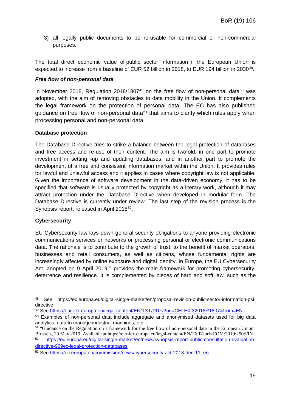3) all legally public documents to be re-usable for commercial or non-commercial purposes.

The total direct economic value of public sector information in the European Union is expected to increase from a baseline of EUR 52 billion in 2018, to EUR 194 billion in 2030<sup>[48](#page-18-0)</sup>.

### *Free flow of non-personal data*

In November 2018, Regulation 2018/1807 $49$  on the free flow of non-personal data<sup>[50](#page-18-2)</sup> was adopted, with the aim of removing obstacles to data mobility in the Union. It complements the legal framework on the protection of personal data. The EC has also published guidance on free flow of non-personal data<sup>[51](#page-18-3)</sup> that aims to clarify which rules apply when processing personal and non-personal data

### **Database protection**

The Database Directive tries to strike a balance between the legal protection of databases and free access and re-use of their content. The aim is twofold, in one part to promote investment in setting -up and updating databases, and in another part to promote the development of a free and consistent information market within the Union. It provides rules for lawful and unlawful access and it applies in cases where copyright law is not applicable. Given the importance of software development in the data-driven economy, it has to be specified that software is usually protected by copyright as a literary work, although it may attract protection under the Database Directive when developed in modular form. The Database Directive is currently under review. The last step of the revision process is the Synopsis report, released in April 2018<sup>52</sup>.

### **Cybersecurity**

-

EU Cybersecurity law lays down general security obligations to anyone providing electronic communications services or networks or processing personal or electronic communications data. The rationale is to contribute to the growth of trust, to the benefit of market operators, businesses and retail consumers, as well as citizens, whose fundamental rights are increasingly affected by online exposure and digital identity. In Europe, the EU Cybersecurity Act, adopted on 9 April 2019<sup>[53](#page-18-5)</sup> provides the main framework for promoting cybersecurity, deterrence and resilience. It is complemented by pieces of hard and soft law, such as the

<span id="page-18-0"></span><sup>48</sup> See https://ec.europa.eu/digital-single-market/en/proposal-revision-public-sector-information-psidirective

<span id="page-18-1"></span><sup>49</sup> See<https://eur-lex.europa.eu/legal-content/EN/TXT/PDF/?uri=CELEX:32018R1807&from=EN>

<span id="page-18-2"></span><sup>&</sup>lt;sup>50</sup> Examples of non-personal data include aggregate and anonymised datasets used for big data analytics, data to manage industrial machines, etc.

<span id="page-18-3"></span><sup>&</sup>lt;sup>51</sup> "Guidance on the Regulation on a framework for the free flow of non-personal data in the European Union" Brussels, 29 May 2019. Available at https://eur-lex.europa.eu/legal-content/EN/TXT/?uri=COM:2019:250:FIN

<span id="page-18-4"></span><sup>52</sup> [https://ec.europa.eu/digital-single-market/en/news/synopsis-report-public-consultation-evaluation](https://ec.europa.eu/digital-single-market/en/news/synopsis-report-public-consultation-evaluation-directive-969ec-legal-protection-databases)[directive-969ec-legal-protection-databases](https://ec.europa.eu/digital-single-market/en/news/synopsis-report-public-consultation-evaluation-directive-969ec-legal-protection-databases)

<span id="page-18-5"></span><sup>53</sup> See [https://ec.europa.eu/commission/news/cybersecurity-act-2018-dec-11\\_en](https://ec.europa.eu/commission/news/cybersecurity-act-2018-dec-11_en)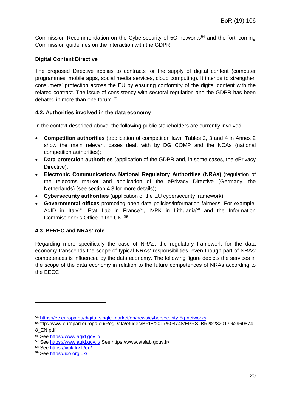Commission Recommendation on the Cybersecurity of 5G networks<sup>[54](#page-19-2)</sup> and the forthcoming Commission guidelines on the interaction with the GDPR.

## **Digital Content Directive**

The proposed Directive applies to contracts for the supply of digital content (computer programmes, mobile apps, social media services, cloud computing). It intends to strengthen consumers' protection across the EU by ensuring conformity of the digital content with the related contract. The issue of consistency with sectoral regulation and the GDPR has been debated in more than one forum.[55](#page-19-3)

### <span id="page-19-0"></span>**4.2. Authorities involved in the data economy**

In the context described above, the following public stakeholders are currently involved:

- **Competition authorities** (application of competition law). Tables 2, 3 and 4 in Annex 2 show the main relevant cases dealt with by DG COMP and the NCAs (national competition authorities);
- **Data protection authorities** (application of the GDPR and, in some cases, the ePrivacy Directive);
- **Electronic Communications National Regulatory Authorities (NRAs)** (regulation of the telecoms market and application of the ePrivacy Directive (Germany, the Netherlands) (see section 4.3 for more details);
- **Cybersecurity authorities** (application of the EU cybersecurity framework);
- **Governmental offices** promoting open data policies/information fairness. For example, AgID in Italy<sup>[56](#page-19-4)</sup>, Etat Lab in France<sup>57</sup>, IVPK in Lithuania<sup>[58](#page-19-6)</sup> and the Information Commissioner's Office in the UK. [59](#page-19-7)

### <span id="page-19-1"></span>**4.3. BEREC and NRAs' role**

Regarding more specifically the case of NRAs, the regulatory framework for the data economy transcends the scope of typical NRAs' responsibilities, even though part of NRAs' competences is influenced by the data economy. The following figure depicts the services in the scope of the data economy in relation to the future competences of NRAs according to the EECC.

<span id="page-19-2"></span><sup>54</sup> <https://ec.europa.eu/digital-single-market/en/news/cybersecurity-5g-networks>

<span id="page-19-3"></span><sup>55</sup>http://www.europarl.europa.eu/RegData/etudes/BRIE/2017/608748/EPRS\_BRI%282017%2960874 8\_EN.pdf

<span id="page-19-4"></span><sup>56</sup> See<https://www.agid.gov.it/>

<span id="page-19-5"></span><sup>57</sup> See<https://www.agid.gov.it/> See https://www.etalab.gouv.fr/

<span id="page-19-6"></span><sup>58</sup> See<https://ivpk.lrv.lt/en/>

<span id="page-19-7"></span><sup>59</sup> See<https://ico.org.uk/>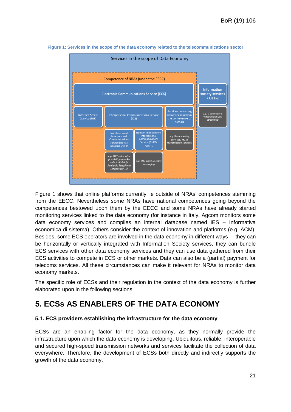

<span id="page-20-2"></span>**Figure 1: Services in the scope of the data economy related to the telecommunications sector**

Figure 1 shows that online platforms currently lie outside of NRAs' competences stemming from the EECC. Nevertheless some NRAs have national competences going beyond the competences bestowed upon them by the EECC and some NRAs have already started monitoring services linked to the data economy (for instance in Italy, Agcom monitors some data economy services and compiles an internal database named IES – Informativa economica di sistema). Others consider the context of innovation and platforms (e.g. ACM). Besides, some ECS operators are involved in the data economy in different ways – they can be horizontally or vertically integrated with Information Society services, they can bundle ECS services with other data economy services and they can use data gathered from their ECS activities to compete in ECS or other markets. Data can also be a (partial) payment for telecoms services. All these circumstances can make it relevant for NRAs to monitor data economy markets.

The specific role of ECSs and their regulation in the context of the data economy is further elaborated upon in the following sections.

# <span id="page-20-0"></span>**5. ECSs AS ENABLERS OF THE DATA ECONOMY**

### <span id="page-20-1"></span>**5.1. ECS providers establishing the infrastructure for the data economy**

ECSs are an enabling factor for the data economy, as they normally provide the infrastructure upon which the data economy is developing. Ubiquitous, reliable, interoperable and secured high-speed transmission networks and services facilitate the collection of data everywhere. Therefore, the development of ECSs both directly and indirectly supports the growth of the data economy.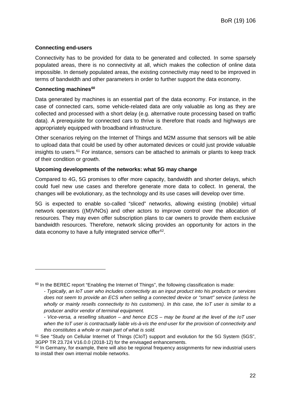## **Connecting end-users**

Connectivity has to be provided for data to be generated and collected. In some sparsely populated areas, there is no connectivity at all, which makes the collection of online data impossible. In densely populated areas, the existing connectivity may need to be improved in terms of bandwidth and other parameters in order to further support the data economy.

### **Connecting machines[60](#page-21-0)**

-

Data generated by machines is an essential part of the data economy. For instance, in the case of connected cars, some vehicle-related data are only valuable as long as they are collected and processed with a short delay (e.g. alternative route processing based on traffic data). A prerequisite for connected cars to thrive is therefore that roads and highways are appropriately equipped with broadband infrastructure.

Other scenarios relying on the Internet of Things and M2M assume that sensors will be able to upload data that could be used by other automated devices or could just provide valuable insights to users.<sup>[61](#page-21-1)</sup> For instance, sensors can be attached to animals or plants to keep track of their condition or growth.

### **Upcoming developments of the networks: what 5G may change**

Compared to 4G, 5G promises to offer more capacity, bandwidth and shorter delays, which could fuel new use cases and therefore generate more data to collect. In general, the changes will be evolutionary, as the technology and its use cases will develop over time.

5G is expected to enable so-called "sliced" networks, allowing existing (mobile) virtual network operators ((M)VNOs) and other actors to improve control over the allocation of resources. They may even offer subscription plans to car owners to provide them exclusive bandwidth resources. Therefore, network slicing provides an opportunity for actors in the data economy to have a fully integrated service offer<sup>62</sup>.

<span id="page-21-0"></span> $60$  In the BEREC report "Enabling the Internet of Things", the following classification is made:

*<sup>-</sup> Typically, an IoT user who includes connectivity as an input product into his products or services does not seem to provide an ECS when selling a connected device or "smart" service (unless he wholly or mainly resells connectivity to his customers). In this case, the IoT user is similar to a producer and/or vendor of terminal equipment.* 

*<sup>-</sup> Vice-versa, a reselling situation – and hence ECS – may be found at the level of the IoT user when the IoT user is contractually liable vis-à-vis the end-user for the provision of connectivity and this constitutes a whole or main part of what is sold.*

<span id="page-21-1"></span><sup>61</sup> See "Study on Cellular Internet of Things (CIoT) support and evolution for the 5G System (5GS", 3GPP TR 23.724 V16.0.0 (2018-12) for the envisaged enhancements.

<span id="page-21-2"></span> $62$  In Germany, for example, there will also be regional frequency assignments for new industrial users to install their own internal mobile networks.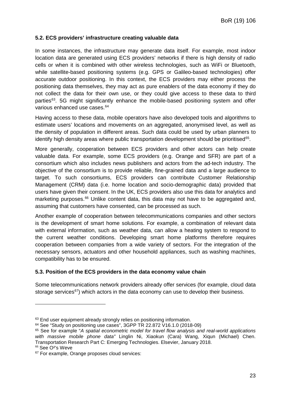### <span id="page-22-0"></span>**5.2. ECS providers' infrastructure creating valuable data**

In some instances, the infrastructure may generate data itself. For example, most indoor location data are generated using ECS providers' networks if there is high density of radio cells or when it is combined with other wireless technologies, such as WiFi or Bluetooth, while satellite-based positioning systems (e.g. GPS or Galileo-based technologies) offer accurate outdoor positioning. In this context, the ECS providers may either process the positioning data themselves, they may act as pure enablers of the data economy if they do not collect the data for their own use, or they could give access to these data to third parties<sup>63</sup>. 5G might significantly enhance the mobile-based positioning system and offer various enhanced use cases.<sup>[64](#page-22-3)</sup>

Having access to these data, mobile operators have also developed tools and algorithms to estimate users' locations and movements on an aggregated, anonymised level, as well as the density of population in different areas. Such data could be used by urban planners to identify high density areas where public transportation development should be prioritised<sup>[65](#page-22-4)</sup>.

More generally, cooperation between ECS providers and other actors can help create valuable data. For example, some ECS providers (e.g. Orange and SFR) are part of a consortium which also includes news publishers and actors from the ad-tech industry. The objective of the consortium is to provide reliable, fine-grained data and a large audience to target. To such consortiums, ECS providers can contribute Customer Relationship Management (CRM) data (i.e. home location and socio-demographic data) provided that users have given their consent. In the UK, ECS providers also use this data for analytics and marketing purposes. [66](#page-22-5) Unlike content data, this data may not have to be aggregated and, assuming that customers have consented, can be processed as such.

Another example of cooperation between telecommunications companies and other sectors is the development of smart home solutions. For example, a combination of relevant data with external information, such as weather data, can allow a heating system to respond to the current weather conditions. Developing smart home platforms therefore requires cooperation between companies from a wide variety of sectors. For the integration of the necessary sensors, actuators and other household appliances, such as washing machines, compatibility has to be ensured.

### <span id="page-22-1"></span>**5.3. Position of the ECS providers in the data economy value chain**

Some telecommunications network providers already offer services (for example, cloud data storage services<sup>[67](#page-22-6)</sup>) which actors in the data economy can use to develop their business.

<span id="page-22-5"></span><sup>66</sup> See O²'s Weve

<span id="page-22-2"></span><sup>&</sup>lt;sup>63</sup> End user equipment already strongly relies on positioning information.

<span id="page-22-3"></span><sup>64</sup> See "Study on positioning use cases", 3GPP TR 22.872 V16.1.0 (2018-09)

<span id="page-22-4"></span><sup>65</sup> See for example "*A spatial econometric model for travel flow analysis and real-world applications with massive mobile phone data"* Linglin Ni, Xiaokun (Cara) Wang, Xiqun (Michael) Chen. Transportation Research Part C: Emerging Technologies. Elsevier, January 2018.

<span id="page-22-6"></span><sup>67</sup> For example, Orange proposes cloud services: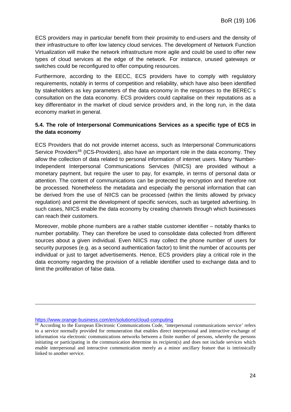ECS providers may in particular benefit from their proximity to end-users and the density of their infrastructure to offer low latency cloud services. The development of Network Function Virtualization will make the network infrastructure more agile and could be used to offer new types of cloud services at the edge of the network. For instance, unused gateways or switches could be reconfigured to offer computing resources.

Furthermore, according to the EECC, ECS providers have to comply with regulatory requirements, notably in terms of competition and reliability, which have also been identified by stakeholders as key parameters of the data economy in the responses to the BEREC´s consultation on the data economy. ECS providers could capitalise on their reputations as a key differentiator in the market of cloud service providers and, in the long run, in the data economy market in general.

### <span id="page-23-0"></span>**5.4. The role of Interpersonal Communications Services as a specific type of ECS in the data economy**

ECS Providers that do not provide internet access, such as Interpersonal Communications Service Providers<sup>[68](#page-23-1)</sup> (ICS-Providers), also have an important role in the data economy. They allow the collection of data related to personal information of internet users. Many 'Number-Independent Interpersonal Communications Services (NIICS) are provided without a monetary payment, but require the user to pay, for example, in terms of personal data or attention. The content of communications can be protected by encryption and therefore not be processed. Nonetheless the metadata and especially the personal information that can be derived from the use of NIICS can be processed (within the limits allowed by privacy regulation) and permit the development of specific services, such as targeted advertising. In such cases, NIICS enable the data economy by creating channels through which businesses can reach their customers.

Moreover, mobile phone numbers are a rather stable customer identifier – notably thanks to number portability. They can therefore be used to consolidate data collected from different sources about a given individual. Even NIICS may collect the phone number of users for security purposes (e.g. as a second authentication factor) to limit the number of accounts per individual or just to target advertisements. Hence, ECS providers play a critical role in the data economy regarding the provision of a reliable identifier used to exchange data and to limit the proliferation of false data.

<https://www.orange-business.com/en/solutions/cloud-computing>

<span id="page-23-1"></span><sup>&</sup>lt;sup>68</sup> According to the European Electronic Communications Code, 'interpersonal communications service' refers to a service normally provided for remuneration that enables direct interpersonal and interactive exchange of information via electronic communications networks between a finite number of persons, whereby the persons initiating or participating in the communication determine its recipient(s) and does not include services which enable interpersonal and interactive communication merely as a minor ancillary feature that is intrinsically linked to another service.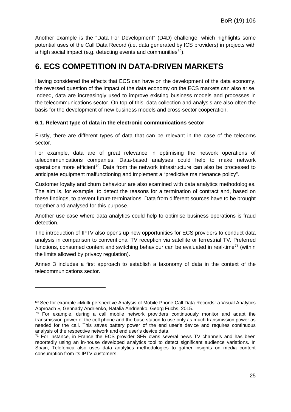Another example is the "Data For Development" (D4D) challenge, which highlights some potential uses of the Call Data Record (i.e. data generated by ICS providers) in projects with a high social impact (e.g. detecting events and communities<sup>[69](#page-24-2)</sup>).

# <span id="page-24-0"></span>**6. ECS COMPETITION IN DATA-DRIVEN MARKETS**

Having considered the effects that ECS can have on the development of the data economy, the reversed question of the impact of the data economy on the ECS markets can also arise. Indeed, data are increasingly used to improve existing business models and processes in the telecommunications sector. On top of this, data collection and analysis are also often the basis for the development of new business models and cross-sector cooperation.

### <span id="page-24-1"></span>**6.1. Relevant type of data in the electronic communications sector**

Firstly, there are different types of data that can be relevant in the case of the telecoms sector.

For example, data are of great relevance in optimising the network operations of telecommunications companies. Data-based analyses could help to make network operations more efficient<sup>[70](#page-24-3)</sup>. Data from the network infrastructure can also be processed to anticipate equipment malfunctioning and implement a "predictive maintenance policy".

Customer loyalty and churn behaviour are also examined with data analytics methodologies. The aim is, for example, to detect the reasons for a termination of contract and, based on these findings, to prevent future terminations. Data from different sources have to be brought together and analysed for this purpose.

Another use case where data analytics could help to optimise business operations is fraud detection.

The introduction of IPTV also opens up new opportunities for ECS providers to conduct data analysis in comparison to conventional TV reception via satellite or terrestrial TV. Preferred functions, consumed content and switching behaviour can be evaluated in real-time<sup>[71](#page-24-4)</sup> (within the limits allowed by privacy regulation).

Annex 3 includes a first approach to establish a taxonomy of data in the context of the telecommunications sector.

<span id="page-24-2"></span><sup>69</sup> See for example «Multi-perspective Analysis of Mobile Phone Call Data Records: a Visual Analytics<br>Approach », Gennady Andrienko, Natalia Andrienko, Georg Fuchs, 2015.

<span id="page-24-3"></span> $70$  For example, during a call mobile network providers continuously monitor and adapt the transmission power of the cell phone and the base station to use only as much transmission power as needed for the call. This saves battery power of the end user's device and requires continuous analysis of the respective network and end user's device data.

<span id="page-24-4"></span><sup>71</sup> For instance, in France the ECS provider SFR owns several news TV channels and has been reportedly using an in-house developed analytics tool to detect significant audience variations. In Spain, Telefónica also uses data analytics methodologies to gather insights on media content consumption from its IPTV customers.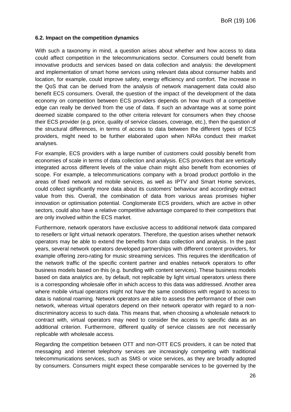#### <span id="page-25-0"></span>**6.2. Impact on the competition dynamics**

With such a taxonomy in mind, a question arises about whether and how access to data could affect competition in the telecommunications sector. Consumers could benefit from innovative products and services based on data collection and analysis: the development and implementation of smart home services using relevant data about consumer habits and location, for example, could improve safety, energy efficiency and comfort. The increase in the QoS that can be derived from the analysis of network management data could also benefit ECS consumers. Overall, the question of the impact of the development of the data economy on competition between ECS providers depends on how much of a competitive edge can really be derived from the use of data. If such an advantage was at some point deemed sizable compared to the other criteria relevant for consumers when they choose their ECS provider (e.g. price, quality of service classes, coverage, etc.), then the question of the structural differences, in terms of access to data between the different types of ECS providers, might need to be further elaborated upon when NRAs conduct their market analyses.

For example, ECS providers with a large number of customers could possibly benefit from economies of scale in terms of data collection and analysis. ECS providers that are vertically integrated across different levels of the value chain might also benefit from economies of scope. For example, a telecommunications company with a broad product portfolio in the areas of fixed network and mobile services, as well as IPTV and Smart Home services, could collect significantly more data about its customers' behaviour and accordingly extract value from this. Overall, the combination of data from various areas promises higher innovation or optimisation potential. Conglomerate ECS providers, which are active in other sectors, could also have a relative competitive advantage compared to their competitors that are only involved within the ECS market.

Furthermore, network operators have exclusive access to additional network data compared to resellers or light virtual network operators. Therefore, the question arises whether network operators may be able to extend the benefits from data collection and analysis. In the past years, several network operators developed partnerships with different content providers, for example offering zero-rating for music streaming services. This requires the identification of the network traffic of the specific content partner and enables network operators to offer business models based on this (e.g. bundling with content services). These business models based on data analytics are, by default, not replicable by light virtual operators unless there is a corresponding wholesale offer in which access to this data was addressed. Another area where mobile virtual operators might not have the same conditions with regard to access to data is national roaming. Network operators are able to assess the performance of their own network, whereas virtual operators depend on their network operator with regard to a nondiscriminatory access to such data. This means that, when choosing a wholesale network to contract with, virtual operators may need to consider the access to specific data as an additional criterion. Furthermore, different quality of service classes are not necessarily replicable with wholesale access.

Regarding the competition between OTT and non-OTT ECS providers, it can be noted that messaging and internet telephony services are increasingly competing with traditional telecommunications services, such as SMS or voice services, as they are broadly adopted by consumers. Consumers might expect these comparable services to be governed by the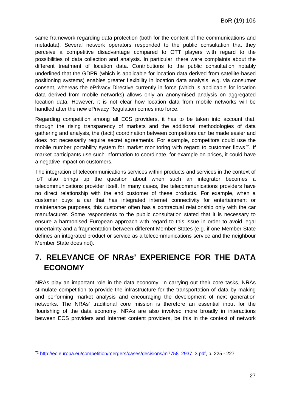same framework regarding data protection (both for the content of the communications and metadata). Several network operators responded to the public consultation that they perceive a competitive disadvantage compared to OTT players with regard to the possibilities of data collection and analysis. In particular, there were complaints about the different treatment of location data. Contributions to the public consultation notably underlined that the GDPR (which is applicable for location data derived from satellite-based positioning systems) enables greater flexibility in location data analysis, e.g. via consumer consent, whereas the ePrivacy Directive currently in force (which is applicable for location data derived from mobile networks) allows only an anonymised analysis on aggregated location data. However, it is not clear how location data from mobile networks will be handled after the new ePrivacy Regulation comes into force.

Regarding competition among all ECS providers, it has to be taken into account that, through the rising transparency of markets and the additional methodologies of data gathering and analysis, the (tacit) coordination between competitors can be made easier and does not necessarily require secret agreements. For example, competitors could use the mobile number portability system for market monitoring with regard to customer flows<sup>72</sup>. If market participants use such information to coordinate, for example on prices, it could have a negative impact on customers.

The integration of telecommunications services within products and services in the context of IoT also brings up the question about when such an integrator becomes a telecommunications provider itself. In many cases, the telecommunications providers have no direct relationship with the end customer of these products. For example, when a customer buys a car that has integrated internet connectivity for entertainment or maintenance purposes, this customer often has a contractual relationship only with the car manufacturer. Some respondents to the public consultation stated that it is necessary to ensure a harmonised European approach with regard to this issue in order to avoid legal uncertainty and a fragmentation between different Member States (e.g. if one Member State defines an integrated product or service as a telecommunications service and the neighbour Member State does not).

# <span id="page-26-0"></span>**7. RELEVANCE OF NRAs' EXPERIENCE FOR THE DATA ECONOMY**

NRAs play an important role in the data economy. In carrying out their core tasks, NRAs stimulate competition to provide the infrastructure for the transportation of data by making and performing market analysis and encouraging the development of next generation networks. The NRAs' traditional core mission is therefore an essential input for the flourishing of the data economy. NRAs are also involved more broadly in interactions between ECS providers and Internet content providers, be this in the context of network

<span id="page-26-1"></span><sup>72</sup> [http://ec.europa.eu/competition/mergers/cases/decisions/m7758\\_2937\\_3.pdf,](http://ec.europa.eu/competition/mergers/cases/decisions/m7758_2937_3.pdf) p. 225 - 227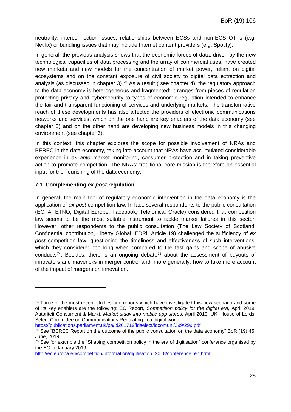neutrality, interconnection issues, relationships between ECSs and non-ECS OTTs (e.g. Netflix) or bundling issues that may include Internet content providers (e.g. Spotify).

In general, the previous analysis shows that the economic forces of data, driven by the new technological capacities of data processing and the array of commercial uses, have created new markets and new models for the concentration of market power, reliant on digital ecosystems and on the constant exposure of civil society to digital data extraction and analysis (as discussed in chapter 3).<sup>[73](#page-27-1)</sup> As a result (see chapter 4), the regulatory approach to the data economy is heterogeneous and fragmented: it ranges from pieces of regulation protecting privacy and cybersecurity to types of economic regulation intended to enhance the fair and transparent functioning of services and underlying markets. The transformative reach of these developments has also affected the providers of electronic communications networks and services, which on the one hand are key enablers of the data economy (see chapter 5) and on the other hand are developing new business models in this changing environment (see chapter 6).

In this context, this chapter explores the scope for possible involvement of NRAs and BEREC in the data economy, taking into account that NRAs have accumulated considerable experience in *ex ante* market monitoring, consumer protection and in taking preventive action to promote competition. The NRAs' traditional core mission is therefore an essential input for the flourishing of the data economy.

### <span id="page-27-0"></span>**7.1. Complementing** *ex-post* **regulation**

-

In general, the main tool of regulatory economic intervention in the data economy is the application of *ex post* competition law. In fact, several respondents to the public consultation (ECTA, ETNO, Digital Europe, Facebook, Telefonica, Oracle) considered that competition law seems to be the most suitable instrument to tackle market failures in this sector. However, other respondents to the public consultation (The Law Society of Scotland, Confidential contribution, Liberty Global, EDRi, Article 19) challenged the sufficiency of *ex post* competition law, questioning the timeliness and effectiveness of such interventions, which they considered too long when compared to the fast gains and scope of abusive conducts<sup>[74](#page-27-2)</sup>. Besides, there is an ongoing debate<sup>[75](#page-27-3)</sup> about the assessment of buyouts of innovators and mavericks in merger control and, more generally, how to take more account of the impact of mergers on innovation.

<https://publications.parliament.uk/pa/ld201719/ldselect/ldcomuni/299/299.pdf>

<span id="page-27-1"></span> $73$  Three of the most recent studies and reports which have investigated this new scenario and some of its key enablers are the following: EC Report, *Competition policy for the digital era*, April 2019; Autoriteit Consument & Markt, *Market study into mobile app stores,* April 2019; UK, House of Lords, Select Committee on Communications Regulating in a digital world,

<span id="page-27-2"></span> $74$  See "BEREC Report on the outcome of the public consultation on the data economy" BoR (19) 45. June, 2019.

<span id="page-27-3"></span><sup>&</sup>lt;sup>75</sup> See for example the "Shaping competition policy in the era of digitisation" conference organised by the EC in January 2019:

[http://ec.europa.eu/competition/information/digitisation\\_2018/conference\\_en.html](http://ec.europa.eu/competition/information/digitisation_2018/conference_en.html)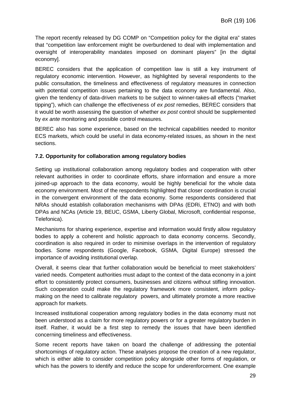The report recently released by DG COMP on "Competition policy for the digital era" states that "competition law enforcement might be overburdened to deal with implementation and oversight of interoperability mandates imposed on dominant players" [in the digital economy].

BEREC considers that the application of competition law is still a key instrument of regulatory economic intervention. However, as highlighted by several respondents to the public consultation, the timeliness and effectiveness of regulatory measures in connection with potential competition issues pertaining to the data economy are fundamental. Also, given the tendency of data-driven markets to be subject to winner-takes-all effects ("market tipping"), which can challenge the effectiveness of *ex post* remedies, BEREC considers that it would be worth assessing the question of whether *ex post* control should be supplemented by *ex ante* monitoring and possible control measures.

BEREC also has some experience, based on the technical capabilities needed to monitor ECS markets, which could be useful in data economy-related issues, as shown in the next sections.

### <span id="page-28-0"></span>**7.2. Opportunity for collaboration among regulatory bodies**

Setting up institutional collaboration among regulatory bodies and cooperation with other relevant authorities in order to coordinate efforts, share information and ensure a more joined-up approach to the data economy, would be highly beneficial for the whole data economy environment. Most of the respondents highlighted that closer coordination is crucial in the convergent environment of the data economy. Some respondents considered that NRAs should establish collaboration mechanisms with DPAs (EDRi, ETNO) and with both DPAs and NCAs (Article 19, BEUC, GSMA, Liberty Global, Microsoft, confidential response, Telefonica).

Mechanisms for sharing experience, expertise and information would firstly allow regulatory bodies to apply a coherent and holistic approach to data economy concerns. Secondly, coordination is also required in order to minimise overlaps in the intervention of regulatory bodies. Some respondents (Google, Facebook, GSMA, Digital Europe) stressed the importance of avoiding institutional overlap.

Overall, it seems clear that further collaboration would be beneficial to meet stakeholders' varied needs. Competent authorities must adapt to the context of the data economy in a joint effort to consistently protect consumers, businesses and citizens without stifling innovation. Such cooperation could make the regulatory framework more consistent, inform policymaking on the need to calibrate regulatory powers, and ultimately promote a more reactive approach for markets.

Increased institutional cooperation among regulatory bodies in the data economy must not been understood as a claim for more regulatory powers or for a greater regulatory burden in itself. Rather, it would be a first step to remedy the issues that have been identified concerning timeliness and effectiveness.

Some recent reports have taken on board the challenge of addressing the potential shortcomings of regulatory action. These analyses propose the creation of a new regulator, which is either able to consider competition policy alongside other forms of regulation, or which has the powers to identify and reduce the scope for underenforcement. One example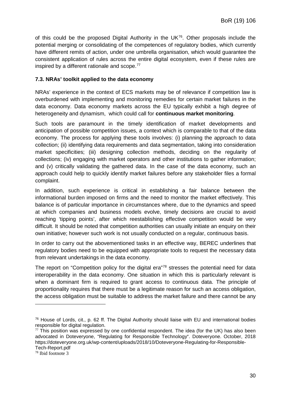of this could be the proposed Digital Authority in the UK $^{76}$  $^{76}$  $^{76}$ . Other proposals include the potential merging or consolidating of the competences of regulatory bodies, which currently have different remits of action, under one umbrella organisation, which would guarantee the consistent application of rules across the entire digital ecosystem, even if these rules are inspired by a different rationale and scope. [77](#page-29-2)

### <span id="page-29-0"></span>**7.3. NRAs' toolkit applied to the data economy**

NRAs' experience in the context of ECS markets may be of relevance if competition law is overburdened with implementing and monitoring remedies for certain market failures in the data economy. Data economy markets across the EU typically exhibit a high degree of heterogeneity and dynamism, which could call for **continuous market monitoring**.

Such tools are paramount in the timely identification of market developments and anticipation of possible competition issues, a context which is comparable to that of the data economy. The process for applying these tools involves: (i) planning the approach to data collection; (ii) identifying data requirements and data segmentation, taking into consideration market specificities; (iii) designing collection methods, deciding on the regularity of collections; (iv) engaging with market operators and other institutions to gather information; and (v) critically validating the gathered data. In the case of the data economy, such an approach could help to quickly identify market failures before any stakeholder files a formal complaint.

In addition, such experience is critical in establishing a fair balance between the informational burden imposed on firms and the need to monitor the market effectively. This balance is of particular importance in circumstances where, due to the dynamics and speed at which companies and business models evolve, timely decisions are crucial to avoid reaching 'tipping points', after which reestablishing effective competition would be very difficult. It should be noted that competition authorities can usually initiate an enquiry on their own initiative; however such work is not usually conducted on a regular, continuous basis.

In order to carry out the abovementioned tasks in an effective way, BEREC underlines that regulatory bodies need to be equipped with appropriate tools to request the necessary data from relevant undertakings in the data economy.

The report on "Competition policy for the digital era"<sup>[78](#page-29-3)</sup> stresses the potential need for data interoperability in the data economy. One situation in which this is particularly relevant is when a dominant firm is required to grant access to continuous data. The principle of proportionality requires that there must be a legitimate reason for such an access obligation, the access obligation must be suitable to address the market failure and there cannot be any

<span id="page-29-1"></span> $76$  House of Lords, cit., p. 62 ff. The Digital Authority should liaise with EU and international bodies responsible for digital regulation.

<span id="page-29-2"></span> $77$  This position was expressed by one confidential respondent. The idea (for the UK) has also been advocated in Doteveryone, "Regulating for Responsible Technology". Doteveryone. October, 2018 https://doteveryone.org.uk/wp-content/uploads/2018/10/Doteveryone-Regulating-for-Responsible-Tech-Report.pdf

<span id="page-29-3"></span><sup>78</sup> Ibid footnote 3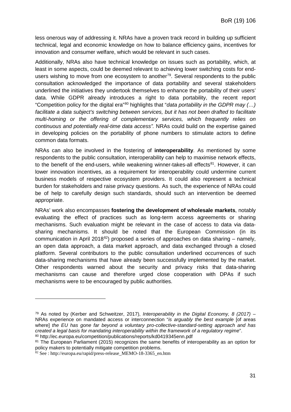less onerous way of addressing it. NRAs have a proven track record in building up sufficient technical, legal and economic knowledge on how to balance efficiency gains, incentives for innovation and consumer welfare, which would be relevant in such cases.

Additionally, NRAs also have technical knowledge on issues such as portability, which, at least in some aspects, could be deemed relevant to achieving lower switching costs for endusers wishing to move from one ecosystem to another<sup>79</sup>. Several respondents to the public consultation acknowledged the importance of data portability and several stakeholders underlined the initiatives they undertook themselves to enhance the portability of their users' data. While GDPR already introduces a right to data portability, the recent report "Competition policy for the digital era"[80](#page-30-1) highlights that "*data portability in the GDPR may (…) facilitate a data subject's switching between services, but it has not been drafted to facilitate multi-homing or the offering of complementary services, which frequently relies on continuous and potentially real-time data access".* NRAs could build on the expertise gained in developing policies on the portability of phone numbers to stimulate actors to define common data formats.

NRAs can also be involved in the fostering of **interoperability**. As mentioned by some respondents to the public consultation, interoperability can help to maximise network effects, to the benefit of the end-users, while weakening winner-takes-all effects $81$ . However, it can lower innovation incentives, as a requirement for interoperability could undermine current business models of respective ecosystem providers. It could also represent a technical burden for stakeholders and raise privacy questions. As such, the experience of NRAs could be of help to carefully design such standards, should such an intervention be deemed appropriate.

NRAs' work also encompasses **fostering the development of wholesale markets**, notably evaluating the effect of practices such as long-term access agreements or sharing mechanisms. Such evaluation might be relevant in the case of access to data via datasharing mechanisms. It should be noted that the European Commission (in its communication in April 2018<sup>[82](#page-30-3)</sup>) proposed a series of approaches on data sharing – namely, an open data approach, a data market approach, and data exchanged through a closed platform. Several contributors to the public consultation underlined occurrences of such data-sharing mechanisms that have already been successfully implemented by the market. Other respondents warned about the security and privacy risks that data-sharing mechanisms can cause and therefore urged close cooperation with DPAs if such mechanisms were to be encouraged by public authorities.

<span id="page-30-0"></span><sup>79</sup> As noted by (Kerber and Schweitzer, 2017), *Interoperability in the Digital Economy, 8 (2017)* – NRAs experience on mandated access or interconnection "*is arguably the best example* [of areas where] *the EU has gone far beyond a voluntary pro-collective-standard-setting approach and has created a legal basis for mandating interoperability within the framework of a regulatory regime*". <sup>80</sup> http://ec.europa.eu/competition/publications/reports/kd0419345enn.pdf

<span id="page-30-2"></span><span id="page-30-1"></span><sup>81</sup> The European Parliament (2015) recognizes the same benefits of interoperability as an option for policy makers to potentially mitigate competition problems.

<span id="page-30-3"></span><sup>82</sup> See : http://europa.eu/rapid/press-release\_MEMO-18-3365\_en.htm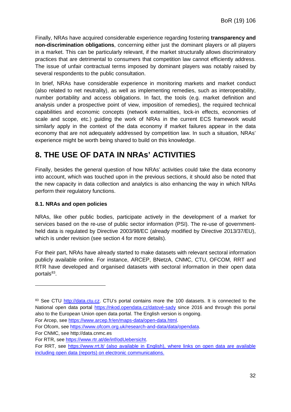Finally, NRAs have acquired considerable experience regarding fostering **transparency and non-discrimination obligations**, concerning either just the dominant players or all players in a market. This can be particularly relevant, if the market structurally allows discriminatory practices that are detrimental to consumers that competition law cannot efficiently address. The issue of unfair contractual terms imposed by dominant players was notably raised by several respondents to the public consultation.

In brief, NRAs have considerable experience in monitoring markets and market conduct (also related to net neutrality), as well as implementing remedies, such as interoperability, number portability and access obligations. In fact, the tools (e.g. market definition and analysis under a prospective point of view, imposition of remedies), the required technical capabilities and economic concepts (network externalities, lock-in effects, economies of scale and scope, etc.) guiding the work of NRAs in the current ECS framework would similarly apply in the context of the data economy if market failures appear in the data economy that are not adequately addressed by competition law. In such a situation, NRAs' experience might be worth being shared to build on this knowledge.

# <span id="page-31-0"></span>**8. THE USE OF DATA IN NRAs' ACTIVITIES**

Finally, besides the general question of how NRAs' activities could take the data economy into account, which was touched upon in the previous sections, it should also be noted that the new capacity in data collection and analytics is also enhancing the way in which NRAs perform their regulatory functions.

## <span id="page-31-1"></span>**8.1. NRAs and open policies**

NRAs, like other public bodies, participate actively in the development of a market for services based on the re-use of public sector information (PSI). The re-use of governmentheld data is regulated by Directive 2003/98/EC (already modified by [Directive 2013/37/EU\)](http://eur-lex.europa.eu/legal-content/FR/ALL/?uri=CELEX:32013L0037), which is under revision (see section 4 for more details).

For their part, NRAs have already started to make datasets with relevant sectoral information publicly available online. For instance, ARCEP, BNetzA, CNMC, CTU, OFCOM, RRT and RTR have developed and organised datasets with sectoral information in their open data portals<sup>83</sup>.

For Arcep, see [https://www.arcep.fr/en/maps-data/open-data.html.](https://www.arcep.fr/en/maps-data/open-data.html)

<span id="page-31-2"></span><sup>83</sup> See CTU [http://data.ctu.cz.](http://data.ctu.cz/) CTU's portal contains more the 100 datasets. It is connected to the National open data portal [https://nkod.opendata.cz/datové-sady](https://nkod.opendata.cz/datov%C3%A9-sady) since 2016 and through this portal also to the European Union open data portal. The English version is ongoing.

For Ofcom, se[e https://www.ofcom.org.uk/research-and-data/data/opendata.](https://www.ofcom.org.uk/research-and-data/data/opendata)

For CNMC, see http://data.cnmc.es

For RTR, see [https://www.rtr.at/de/inf/odUebersicht.](https://www.rtr.at/de/inf/odUebersicht)

For RRT, see<https://www.rrt.lt/> (also available in English), where links on open data are available including open data (reports) on electronic communications.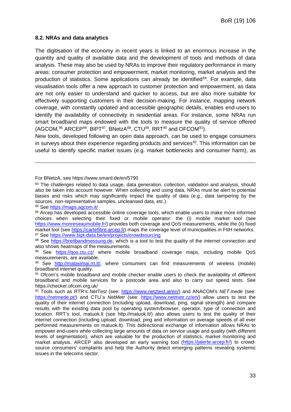### <span id="page-32-0"></span>**8.2. NRAs and data analytics**

The digitisation of the economy in recent years is linked to an enormous increase in the quantity and quality of available data and the development of tools and methods of data analysis. These may also be used by NRAs to improve their regulatory performance in many areas: consumer protection and empowerment, market monitoring, market analysis and the production of statistics. Some applications can already be identified<sup>84</sup>. For example, data visualisation tools offer a new approach to customer protection and empowerment, as data are not only easier to understand and quicker to access, but are also more suitable for effectively supporting customers in their decision-making. For instance, mapping network coverage, with constantly updated and accessible geographic details, enables end-users to identify the availability of connectivity in residential areas. For instance, some NRAs run smart broadband maps endowed with the tools to measure the quality of service offered (AGCOM, <sup>[85](#page-32-2)</sup> ARCEP<sup>86</sup>, BIPT<sup>[87](#page-32-4)</sup>, BNetzA<sup>88</sup>, CTU<sup>89</sup>, RRT<sup>[90](#page-32-7)</sup> and OFCOM<sup>[91](#page-32-8)</sup>).

New tools, developed following an open data approach, can be used to engage consumers in surveys about their experience regarding products and services<sup>[92](#page-32-9)</sup>. This information can be useful to identify specific market issues (e.g. market bottlenecks and consumer harm), as

#### For BNetzA, see https://www.smard.de/en/5790

<span id="page-32-1"></span>84 The challenges related to data usage, data generation, collection, validation and analysis, should also be taken into account however. When collecting and using data, NRAs must be alert to potential biases and risks which may significantly impact the quality of data (e.g., data tampering by the sources, non-representative samples, uncleansed data, etc.).

<span id="page-32-2"></span><sup>85</sup> See<https://maps.agcom.it/>

<span id="page-32-3"></span><sup>86</sup> Arcep has developed accessible online coverage tools, which enable users to make more informed choices when selecting their fixed or mobile operator: the (i) mobile market tool (see [https://www.monreseaumobile.fr/\)](https://www.monreseaumobile.fr/) provides both coverage and QoS measurements, while the (ii) fixed market tool (see [https://cartefibre.arcep.fr\)](https://cartefibre.arcep.fr/) maps the coverage level of municipalities in FttH networks. <sup>87</sup> See https://www.bipt-data.be/en/projects/crowdsourcing

<span id="page-32-5"></span><span id="page-32-4"></span><sup>88</sup> See [https://breitbandmessung.de,](https://breitbandmessung.de/) which is a tool to test the quality of the internet connection and also shows heatmaps of the measurements.

<span id="page-32-6"></span><sup>89</sup> See [https://qos.ctu.cz/](https://qos.ctu.cz/mapa?x=15.673859&y=49.7504162&z=7&o=2&t=4&f=0&r=ra&v=avg&m=st&mp=0_100&ma=1_90&np=0_100&c=1_60&b=1_40&l=en) where mobile broadband coverage maps, including mobile QoS measurements, are available.

<span id="page-32-7"></span><sup>90</sup> See [http://matavimai.rrt.lt/,](http://matavimai.rrt.lt/) where consumers can find measurements of wireless (mobile) broadband internet quality.

<span id="page-32-8"></span><sup>91</sup> Ofcom's mobile broadband and mobile checker enable users to check the availability of different broadband and mobile services for a postcode area and also to carry out speed tests. See https://checker.ofcom.org.uk/

<span id="page-32-9"></span><sup>92</sup> Tools such as RTR's *NetTest* (see: [https://www.netztest.at/en/\)](https://www.netztest.at/en/) and ANACOM's *NET.mede* (see: [https://netmede.pt/\)](https://netmede.pt/) and CTU's NetMetr (see: [https://www.netmetr.cz/en/\)](https://www.netmetr.cz/en/) allow users to test the quality of their internet connection (including upload, download, ping, signal strength) and compare results with the existing data pool by operating system/browser, operator, type of connection and location. RRT's tool, matuok.lt (see http://matuok.lt/) also allows users to test the quality of their internet connection (including upload, download, ping and information on average speeds of all ever performed measurements on matuok.lt). This bidirectional exchange of information allows NRAs to empower end-users while collecting large amounts of data on service usage and quality (with different levels of segmentation), which are valuable for the production of statistics, market monitoring and market analysis. ARCEP also developed an early warning tool [\(https://jalerte.arcep.fr/\)](https://jalerte.arcep.fr/) to crowdsource consumers' complaints and help the Authority detect emerging patterns revealing systemic issues in the telecoms sector.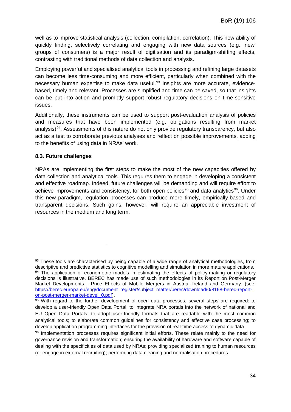well as to improve statistical analysis (collection, compilation, correlation). This new ability of quickly finding, selectively correlating and engaging with new data sources (e.g. 'new' groups of consumers) is a major result of digitisation and its paradigm-shifting effects, contrasting with traditional methods of data collection and analysis.

Employing powerful and specialised analytical tools in processing and refining large datasets can become less time-consuming and more efficient, particularly when combined with the necessary human expertise to make data useful. [93](#page-33-1) Insights are more accurate, evidencebased, timely and relevant. Processes are simplified and time can be saved, so that insights can be put into action and promptly support robust regulatory decisions on time-sensitive issues.

Additionally, these instruments can be used to support post-evaluation analysis of policies and measures that have been implemented (e.g. obligations resulting from market analysis)<sup>94</sup>. Assessments of this nature do not only provide regulatory transparency, but also act as a test to corroborate previous analyses and reflect on possible improvements, adding to the benefits of using data in NRAs' work.

### <span id="page-33-0"></span>**8.3. Future challenges**

-

NRAs are implementing the first steps to make the most of the new capacities offered by data collection and analytical tools. This requires them to engage in developing a consistent and effective roadmap. Indeed, future challenges will be demanding and will require effort to achieve improvements and consistency, for both open policies<sup>[95](#page-33-3)</sup> and data analytics<sup>96</sup>. Under this new paradigm, regulation processes can produce more timely, empirically-based and transparent decisions. Such gains, however, will require an appreciable investment of resources in the medium and long term.

<span id="page-33-2"></span><span id="page-33-1"></span><sup>93</sup> These tools are characterised by being capable of a wide range of analytical methodologies, from descriptive and predictive statistics to cognitive modelling and simulation in more mature applications. 94 The application of econometric models in estimating the effects of policy-making or regulatory decisions is illustrative. BEREC has made use of such methodologies in its Report on Post-Merger Market Developments - Price Effects of Mobile Mergers in Austria, Ireland and Germany. (see: [https://berec.europa.eu/eng/document\\_register/subject\\_matter/berec/download/0/8168-berec-report](https://berec.europa.eu/eng/document_register/subject_matter/berec/download/0/8168-berec-report-on-post-merger-market-devel_0.pdf)[on-post-merger-market-devel\\_0.pdf\)](https://berec.europa.eu/eng/document_register/subject_matter/berec/download/0/8168-berec-report-on-post-merger-market-devel_0.pdf).

<span id="page-33-3"></span><sup>&</sup>lt;sup>95</sup> With regard to the further development of open data processes, several steps are required: to develop a user-friendly Open Data Portal; to integrate NRA portals into the network of national and EU Open Data Portals; to adopt user-friendly formats that are readable with the most common analytical tools; to elaborate common guidelines for consistency and effective case processing; to develop application programming interfaces for the provision of real-time access to dynamic data.

<span id="page-33-4"></span><sup>96</sup> Implementation processes requires significant initial efforts. These relate mainly to the need for governance revision and transformation; ensuring the availability of hardware and software capable of dealing with the specificities of data used by NRAs; providing specialized training to human resources (or engage in external recruiting); performing data cleaning and normalisation procedures.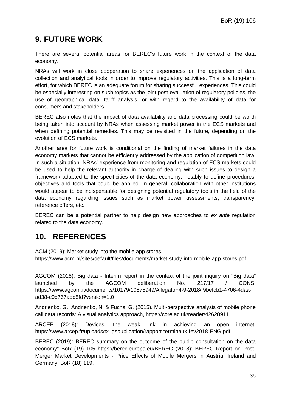# <span id="page-34-0"></span>**9. FUTURE WORK**

There are several potential areas for BEREC's future work in the context of the data economy.

NRAs will work in close cooperation to share experiences on the application of data collection and analytical tools in order to improve regulatory activities. This is a long-term effort, for which BEREC is an adequate forum for sharing successful experiences. This could be especially interesting on such topics as the joint post-evaluation of regulatory policies, the use of geographical data, tariff analysis, or with regard to the availability of data for consumers and stakeholders.

BEREC also notes that the impact of data availability and data processing could be worth being taken into account by NRAs when assessing market power in the ECS markets and when defining potential remedies. This may be revisited in the future, depending on the evolution of ECS markets.

Another area for future work is conditional on the finding of market failures in the data economy markets that cannot be efficiently addressed by the application of competition law. In such a situation, NRAs' experience from monitoring and regulation of ECS markets could be used to help the relevant authority in charge of dealing with such issues to design a framework adapted to the specificities of the data economy, notably to define procedures, objectives and tools that could be applied. In general, collaboration with other institutions would appear to be indispensable for designing potential regulatory tools in the field of the data economy regarding issues such as market power assessments, transparency, reference offers, etc.

BEREC can be a potential partner to help design new approaches to *ex ante* regulation related to the data economy.

# <span id="page-34-1"></span>**10. REFERENCES**

ACM (2019): Market study into the mobile app stores. https://www.acm.nl/sites/default/files/documents/market-study-into-mobile-app-stores.pdf

AGCOM (2018): Big data - Interim report in the context of the joint inquiry on "Big data" launched by the AGCOM deliberation No. 217/17 / CONS, https://www.agcom.it/documents/10179/10875949/Allegato+4-9-2018/f9befcb1-4706-4daaad38-c0d767add5fd?version=1.0

Andrienko, G., Andrienko, N. & Fuchs, G. (2015). Multi-perspective analysis of mobile phone call data records: A visual analytics approach, [https://core.ac.uk/reader/42628911,](https://core.ac.uk/reader/42628911)

ARCEP (2018): Devices, the weak link in achieving an open internet, https://www.arcep.fr/uploads/tx\_gspublication/rapport-terminaux-fev2018-ENG.pdf

BEREC (2019): BEREC summary on the outcome of the public consultation on the data economy" BoR (19) 105 https://berec.europa.eu/BEREC (2018): BEREC Report on Post-Merger Market Developments - Price Effects of Mobile Mergers in Austria, Ireland and Germany, BoR (18) 119,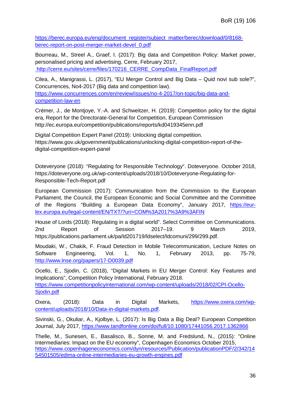[https://berec.europa.eu/eng/document\\_register/subject\\_matter/berec/download/0/8168](https://berec.europa.eu/eng/document_register/subject_matter/berec/download/0/8168-berec-report-on-post-merger-market-devel_0.pdf) [berec-report-on-post-merger-market-devel\\_0.pdf](https://berec.europa.eu/eng/document_register/subject_matter/berec/download/0/8168-berec-report-on-post-merger-market-devel_0.pdf)

Bourreau, M., Streel A., Graef, I. (2017): Big data and Competition Policy: Market power, personalised pricing and advertising, Cerre, February 2017, [http://cerre.eu/sites/cerre/files/170216\\_CERRE\\_CompData\\_FinalReport.pdf](http://cerre.eu/sites/cerre/files/170216_CERRE_CompData_FinalReport.pdf)

Cilea, A., Manigrassi, L. (2017), "EU Merger Control and Big Data – Quid novi sub sole?", Concurrences, No4-2017 (Big data and competition law). [https://www.concurrences.com/en/review/issues/no-4-2017/on-topic/big-data-and](https://www.concurrences.com/en/review/issues/no-4-2017/on-topic/big-data-and-competition-law-en)[competition-law-en](https://www.concurrences.com/en/review/issues/no-4-2017/on-topic/big-data-and-competition-law-en)

Crémer, J., de Montjoye, Y.-A. and Schweitzer, H. (2019): Competition policy for the digital era, Report for the Directorate-General for Competition, European Commission <http://ec.europa.eu/competition/publications/reports/kd0419345enn.pdf>

Digital Competition Expert Panel (2019): Unlocking digital competition. https://www.gov.uk/government/publications/unlocking-digital-competition-report-of-thedigital-competition-expert-panel

Doteveryone (2018): "Regulating for Responsible Technology". Doteveryone. October 2018, https://doteveryone.org.uk/wp-content/uploads/2018/10/Doteveryone-Regulating-for-Responsible-Tech-Report.pdf

European Commission (2017): Communication from the Commission to the European Parliament, the Council, the European Economic and Social Committee and the Committee of the Regions "Building a European Data Economy", January 2017, [https://eur](https://eur-lex.europa.eu/legal-content/EN/TXT/?uri=COM%3A2017%3A9%3AFIN)[lex.europa.eu/legal-content/EN/TXT/?uri=COM%3A2017%3A9%3AFIN](https://eur-lex.europa.eu/legal-content/EN/TXT/?uri=COM%3A2017%3A9%3AFIN)

House of Lords (2018): Regulating in a digital world". Select Committee on Communications. 2nd Report of Session 2017–19. 9 March 2019, https://publications.parliament.uk/pa/ld201719/ldselect/ldcomuni/299/299.pdf.

Moudaki, W., Chakik, F. Fraud Detection in Mobile Telecommunication, Lecture Notes on Software Engineering, Vol. 1, No. 1, February 2013, pp. 75-79, <http://www.lnse.org/papers/17-D0039.pdf>

Ocello, E., Sjodin, C. (2018), "Digital Markets in EU Merger Control: Key Features and Implications", Competition Policy International, February 2018. [https://www.competitionpolicyinternational.com/wp-content/uploads/2018/02/CPI-Ocello-](https://www.competitionpolicyinternational.com/wp-content/uploads/2018/02/CPI-Ocello-Sjodin.pdf)[Sjodin.pdf](https://www.competitionpolicyinternational.com/wp-content/uploads/2018/02/CPI-Ocello-Sjodin.pdf)

Oxera, (2018): Data in Digital Markets, [https://www.oxera.com/wp](https://www.oxera.com/wp-content/uploads/2018/10/Data-in-digital-markets.pdf)[content/uploads/2018/10/Data-in-digital-markets.pdf.](https://www.oxera.com/wp-content/uploads/2018/10/Data-in-digital-markets.pdf)

Sivinski, G., Okuliar, A., Kjolbye, L. (2017): Is Big Data a Big Deal? European Competition Journal, July 2017,<https://www.tandfonline.com/doi/full/10.1080/17441056.2017.1362866>

Thelle, M., Sunesen, E., Basalisco, B., Sonne, M. and Fredslund, N., (2015): "Online Intermediaries: Impact on the EU economy", Copenhagen Economics October 2015, [https://www.copenhageneconomics.com/dyn/resources/Publication/publicationPDF/2/342/14](https://www.copenhageneconomics.com/dyn/resources/Publication/publicationPDF/2/342/1454501505/edima-online-intermediaries-eu-growth-engines.pdf) [54501505/edima-online-intermediaries-eu-growth-engines.pdf](https://www.copenhageneconomics.com/dyn/resources/Publication/publicationPDF/2/342/1454501505/edima-online-intermediaries-eu-growth-engines.pdf)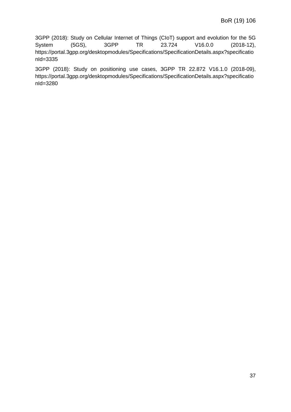3GPP (2018): Study on Cellular Internet of Things (CIoT) support and evolution for the 5G System (5GS), 3GPP TR 23.724 V16.0.0 (2018-12), https://portal.3gpp.org/desktopmodules/Specifications/SpecificationDetails.aspx?specificatio nId=3335

<span id="page-36-0"></span>3GPP (2018): Study on positioning use cases, 3GPP TR 22.872 V16.1.0 (2018-09), https://portal.3gpp.org/desktopmodules/Specifications/SpecificationDetails.aspx?specificatio nId=3280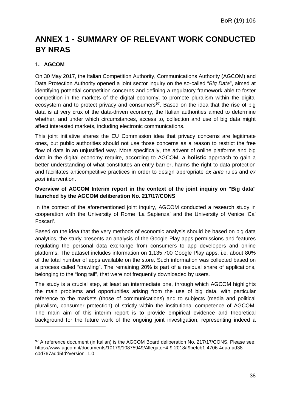# **ANNEX 1 - SUMMARY OF RELEVANT WORK CONDUCTED BY NRAS**

# **1. AGCOM**

-

On 30 May 2017, the Italian Competition Authority, Communications Authority (AGCOM) and Data Protection Authority opened a joint sector inquiry on the so-called "*Big Data*", aimed at identifying potential competition concerns and defining a regulatory framework able to foster competition in the markets of the digital economy, to promote pluralism within the digital ecosystem and to protect privacy and consumers<sup>97</sup>. Based on the idea that the rise of big data is at very crux of the data-driven economy, the Italian authorities aimed to determine whether, and under which circumstances, access to, collection and use of big data might affect interested markets, including electronic communications.

This joint initiative shares the EU Commission idea that privacy concerns are legitimate ones, but public authorities should not use those concerns as a reason to restrict the free flow of data in an unjustified way. More specifically, the advent of online platforms and big data in the digital economy require, according to AGCOM, a **holistic** approach to gain a better understanding of what constitutes an entry barrier, harms the right to data protection and facilitates anticompetitive practices in order to design appropriate *ex ante* rules and *ex post* intervention.

### **Overview of AGCOM Interim report in the context of the joint inquiry on "Big data" launched by the AGCOM deliberation No. 217/17/CONS**

In the context of the aforementioned joint inquiry, AGCOM conducted a research study in cooperation with the University of Rome 'La Sapienza' and the University of Venice 'Ca' Foscari'.

Based on the idea that the very methods of economic analysis should be based on big data analytics, the study presents an analysis of the Google Play apps permissions and features regulating the personal data exchange from consumers to app developers and online platforms. The dataset includes information on 1,135,700 Google Play apps, i.e. about 80% of the total number of apps available on the store. Such information was collected based on a process called "crawling". The remaining 20% is part of a residual share of applications, belonging to the "long tail", that were not frequently downloaded by users.

The study is a crucial step, at least an intermediate one, through which AGCOM highlights the main problems and opportunities arising from the use of big data, with particular reference to the markets (those of communications) and to subjects (media and political pluralism, consumer protection) of strictly within the institutional competence of AGCOM. The main aim of this interim report is to provide empirical evidence and theoretical background for the future work of the ongoing joint investigation, representing indeed a

<span id="page-37-0"></span><sup>97</sup> A reference document (in Italian) is the AGCOM Board deliberation No. 217/17/CONS. Please see: https://www.agcom.it/documents/10179/10875949/Allegato+4-9-2018/f9befcb1-4706-4daa-ad38 c0d767add5fd?version=1.0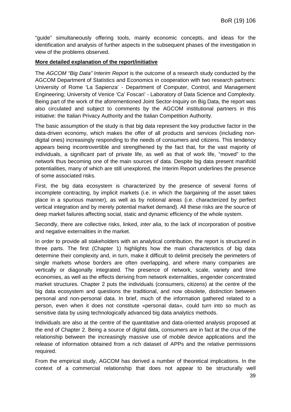"guide" simultaneously offering tools, mainly economic concepts, and ideas for the identification and analysis of further aspects in the subsequent phases of the investigation in view of the problems observed.

### **More detailed explanation of the report/initiative**

The *AGCOM "Big Data" Interim Report* is the outcome of a research study conducted by the AGCOM Department of Statistics and Economics in cooperation with two research partners: University of Rome 'La Sapienza' - Department of Computer, Control, and Management Engineering; University of Venice 'Ca' Foscari' - Laboratory of Data Science and Complexity. Being part of the work of the aforementioned Joint Sector-Inquiry on Big Data, the report was also circulated and subject to comments by the AGCOM institutional partners in this initiative: the Italian Privacy Authority and the Italian Competition Authority.

The basic assumption of the study is that big data represent the key productive factor in the data-driven economy, which makes the offer of all products and services (including nondigital ones) increasingly responding to the needs of consumers and citizens. This tendency appears being incontrovertible and strengthened by the fact that, for the vast majority of individuals, a significant part of private life, as well as that of work life, "moved" to the network thus becoming one of the main sources of data. Despite big data present manifold potentialities, many of which are still unexplored, the Interim Report underlines the presence of some associated risks.

First, the big data ecosystem is characterized by the presence of several forms of incomplete contracting, by implicit markets (i.e. in which the bargaining of the asset takes place in a spurious manner), as well as by notional areas (i.e. characterized by perfect vertical integration and by merely potential market demand). All these risks are the source of deep market failures affecting social, static and dynamic efficiency of the whole system.

Secondly, there are collective risks, linked, *inter alia*, to the lack of incorporation of positive and negative externalities in the market.

In order to provide all stakeholders with an analytical contribution, the report is structured in three parts. The first (Chapter 1) highlights how the main characteristics of big data determine their complexity and, in turn, make it difficult to delimit precisely the perimeters of single markets whose borders are often overlapping, and where many companies are vertically or diagonally integrated. The presence of network, scale, variety and time economies, as well as the effects deriving from network externalities, engender concentrated market structures. Chapter 2 puts the individuals (consumers, citizens) at the centre of the big data ecosystem and questions the traditional, and now obsolete, distinction between personal and non-personal data. In brief, much of the information gathered related to a person, even when it does not constitute «personal data», could turn into so much as sensitive data by using technologically advanced big data analytics methods.

Individuals are also at the centre of the quantitative and data-oriented analysis proposed at the end of Chapter 2. Being a source of digital data, consumers are in fact at the crux of the relationship between the increasingly massive use of mobile device applications and the release of information obtained from a rich dataset of APPs and the relative permissions required.

From the empirical study, AGCOM has derived a number of theoretical implications. In the context of a commercial relationship that does not appear to be structurally well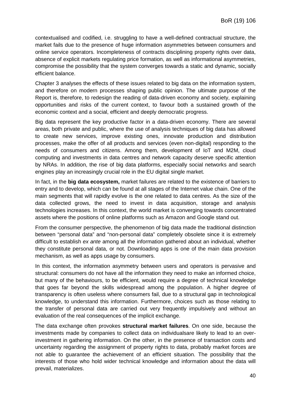contextualised and codified, i.e. struggling to have a well-defined contractual structure, the market fails due to the presence of huge information asymmetries between consumers and online service operators. Incompleteness of contracts disciplining property rights over data, absence of explicit markets regulating price formation, as well as informational asymmetries, compromise the possibility that the system converges towards a static and dynamic, socially efficient balance.

Chapter 3 analyses the effects of these issues related to big data on the information system, and therefore on modern processes shaping public opinion. The ultimate purpose of the Report is, therefore, to redesign the reading of data-driven economy and society, explaining opportunities and risks of the current context, to favour both a sustained growth of the economic context and a social, efficient and deeply democratic progress.

Big data represent the key productive factor in a data-driven economy. There are several areas, both private and public, where the use of analysis techniques of big data has allowed to create new services, improve existing ones, innovate production and distribution processes, make the offer of all products and services (even non-digital) responding to the needs of consumers and citizens. Among them, development of IoT and M2M, cloud computing and investments in data centres and network capacity deserve specific attention by NRAs. In addition, the rise of big data platforms, especially social networks and search engines play an increasingly crucial role in the EU digital single market.

In fact, in the **big data ecosystem,** market failures are related to the existence of barriers to entry and to develop, which can be found at all stages of the Internet value chain. One of the main segments that will rapidly evolve is the one related to data centres. As the size of the data collected grows, the need to invest in data acquisition, storage and analysis technologies increases. In this context, the world market is converging towards concentrated assets where the positions of online platforms such as Amazon and Google stand out.

From the consumer perspective, the phenomenon of big data made the traditional distinction between "personal data" and "non-personal data" completely obsolete since it is extremely difficult to establish *ex ante* among all the information gathered about an individual, whether they constitute personal data, or not. Downloading apps is one of the main data provision mechanism, as well as apps usage by consumers.

In this context, the information asymmetry between users and operators is pervasive and structural: consumers do not have all the information they need to make an informed choice, but many of the behaviours, to be efficient, would require a degree of technical knowledge that goes far beyond the skills widespread among the population. A higher degree of transparency is often useless where consumers fail, due to a structural gap in technological knowledge, to understand this information. Furthermore, choices such as those relating to the transfer of personal data are carried out very frequently impulsively and without an evaluation of the real consequences of the implicit exchange.

The data exchange often provokes **structural market failures**. On one side, because the investments made by companies to collect data on individualsare likely to lead to an overinvestment in gathering information. On the other, in the presence of transaction costs and uncertainty regarding the assignment of property rights to data, probably market forces are not able to guarantee the achievement of an efficient situation. The possibility that the interests of those who hold wider technical knowledge and information about the data will prevail, materializes.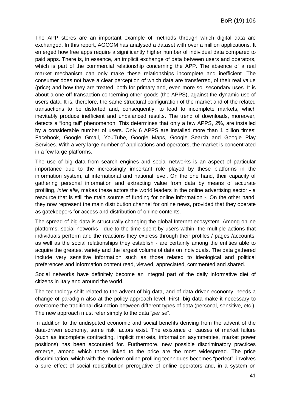The APP stores are an important example of methods through which digital data are exchanged. In this report, AGCOM has analysed a dataset with over a million applications. It emerged how free apps require a significantly higher number of individual data compared to paid apps. There is, in essence, an implicit exchange of data between users and operators, which is part of the commercial relationship concerning the APP. The absence of a real market mechanism can only make these relationships incomplete and inefficient. The consumer does not have a clear perception of which data are transferred, of their real value (price) and how they are treated, both for primary and, even more so, secondary uses. It is about a one-off transaction concerning other goods (the APPS), against the dynamic use of users data. It is, therefore, the same structural configuration of the market and of the related transactions to be distorted and, consequently, to lead to incomplete markets, which inevitably produce inefficient and unbalanced results. The trend of downloads, moreover, detects a "long tail" phenomenon. This determines that only a few APPS, 2%, are installed by a considerable number of users. Only 6 APPS are installed more than 1 billion times: Facebook, Google Gmail, YouTube, Google Maps, Google Search and Google Play Services. With a very large number of applications and operators, the market is concentrated in a few large platforms.

The use of big data from search engines and social networks is an aspect of particular importance due to the increasingly important role played by these platforms in the information system, at international and national level. On the one hand, their capacity of gathering personal information and extracting value from data by means of accurate profiling, *inter alia*, makes these actors the world leaders in the online advertising sector - a resource that is still the main source of funding for online information -. On the other hand, they now represent the main distribution channel for online news, provided that they operate as gatekeepers for access and distribution of online contents.

The spread of big data is structurally changing the global Internet ecosystem. Among online platforms, social networks - due to the time spent by users within, the multiple actions that individuals perform and the reactions they express through their profiles / pages /accounts, as well as the social relationships they establish - are certainly among the entities able to acquire the greatest variety and the largest volume of data on individuals. The data gathered include very sensitive information such as those related to ideological and political preferences and information content read, viewed, appreciated, commented and shared.

Social networks have definitely become an integral part of the daily informative diet of citizens in Italy and around the world.

The technology shift related to the advent of big data, and of data-driven economy, needs a change of paradigm also at the policy-approach level. First, big data make it necessary to overcome the traditional distinction between different types of data (personal, sensitive, etc.). The new approach must refer simply to the data "*per se*".

In addition to the undisputed economic and social benefits deriving from the advent of the data-driven economy, some risk factors exist. The existence of causes of market failure (such as incomplete contracting, implicit markets, information asymmetries, market power positions) has been accounted for. Furthermore, new possible discriminatory practices emerge, among which those linked to the price are the most widespread. The price discrimination, which with the modern online profiling techniques becomes "perfect", involves a sure effect of social redistribution prerogative of online operators and, in a system on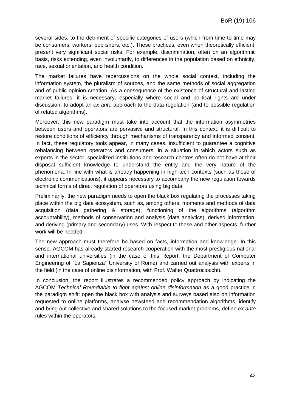several sides, to the detriment of specific categories of users (which from time to time may be consumers, workers, publishers, etc.). These practices, even when theoretically efficient, present very significant social risks. For example, discrimination, often on an algorithmic basis, risks extending, even involuntarily, to differences in the population based on ethnicity, race, sexual orientation, and health condition.

The market failures have repercussions on the whole social context, including the information system, the pluralism of sources, and the same methods of social aggregation and of public opinion creation. As a consequence of the existence of structural and lasting market failures, it is necessary, especially where social and political rights are under discussion, to adopt an *ex ante* approach to the data regulation (and to possible regulation of related algorithms).

Moreover, this new paradigm must take into account that the information asymmetries between users and operators are pervasive and structural. In this context, it is difficult to restore conditions of efficiency through mechanisms of transparency and informed consent. In fact, these regulatory tools appear, in many cases, insufficient to guarantee a cognitive rebalancing between operators and consumers, in a situation in which actors such as experts in the sector, specialized institutions and research centres often do not have at their disposal sufficient knowledge to understand the entity and the very nature of the phenomena. In line with what is already happening in high-tech contexts (such as those of electronic communications), it appears necessary to accompany the new regulation towards technical forms of direct regulation of operators using big data.

Preliminarily, the new paradigm needs to open the black box regulating the processes taking place within the big data ecosystem, such as, among others, moments and methods of data acquisition (data gathering & storage), functioning of the algorithms (algorithm accountability), methods of conservation and analysis (data analytics), derived information, and deriving (primary and secondary) uses. With respect to these and other aspects, further work will be needed.

The new approach must therefore be based on facts, information and knowledge. In this sense, AGCOM has already started research cooperation with the most prestigious national and international universities (in the case of this Report, the Department of Computer Engineering of "La Sapienza" University of Rome) and carried out analysis with experts in the field (in the case of online disinformation, with Prof. Walter Quattrociocchi).

In conclusion, the report illustrates a recommended policy approach by indicating the AGCOM *Technical Roundtable to fight against online disinformation* as a good practice in the paradigm shift: open the black box with analysis and surveys based also on information requested to online platforms, analyse newsfeed and recommendation algorithms, identify and bring out collective and shared solutions to the focused market problems, define *ex ante* rules within the operators.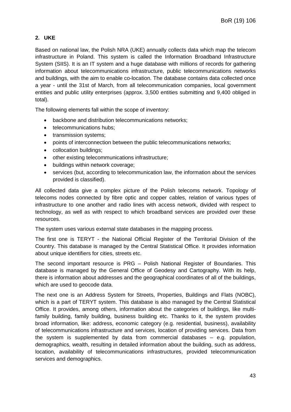# **2. UKE**

Based on national law, the Polish NRA (UKE) annually collects data which map the telecom infrastructure in Poland. This system is called the Information Broadband Infrastructure System (SIIS). It is an IT system and a huge database with millions of records for gathering information about telecommunications infrastructure, public telecommunications networks and buildings, with the aim to enable co-location. The database contains data collected once a year - until the 31st of March, from all telecommunication companies, local government entities and public utility enterprises (approx. 3,500 entities submitting and 9,400 obliged in total).

The following elements fall within the scope of inventory:

- backbone and distribution telecommunications networks;
- telecommunications hubs;
- transmission systems;
- points of interconnection between the public telecommunications networks;
- collocation buildings;
- other existing telecommunications infrastructure;
- buildings within network coverage;
- services (but, according to telecommunication law, the information about the services provided is classified).

All collected data give a complex picture of the Polish telecoms network. Topology of telecoms nodes connected by fibre optic and copper cables, relation of various types of infrastructure to one another and radio lines with access network, divided with respect to technology, as well as with respect to which broadband services are provided over these resources.

The system uses various external state databases in the mapping process.

The first one is TERYT - the National Official Register of the Territorial Division of the Country. This database is managed by the Central Statistical Office. It provides information about unique identifiers for cities, streets etc.

The second important resource is PRG – Polish National Register of Boundaries. This database is managed by the General Office of Geodesy and Cartography. With its help, there is information about addresses and the geographical coordinates of all of the buildings, which are used to geocode data.

The next one is an Address System for Streets, Properties, Buildings and Flats (NOBC), which is a part of TERYT system. This database is also managed by the Central Statistical Office. It provides, among others, information about the categories of buildings, like multifamily building, family building, business building etc. Thanks to it, the system provides broad information, like: address, economic category (e.g. residential, business), availability of telecommunications infrastructure and services, location of providing services. Data from the system is supplemented by data from commercial databases – e.g. population, demographics, wealth, resulting in detailed information about the building, such as address, location, availability of telecommunications infrastructures, provided telecommunication services and demographics.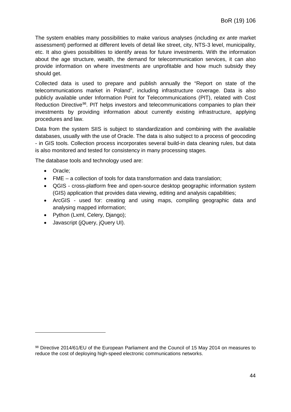The system enables many possibilities to make various analyses (including *ex ante* market assessment) performed at different levels of detail like street, city, NTS-3 level, municipality, etc. It also gives possibilities to identify areas for future investments. With the information about the age structure, wealth, the demand for telecommunication services, it can also provide information on where investments are unprofitable and how much subsidy they should get.

Collected data is used to prepare and publish annually the "Report on state of the telecommunications market in Poland", including infrastructure coverage. Data is also publicly available under Information Point for Telecommunications (PIT), related with Cost Reduction Directive<sup>98</sup>. PIT helps investors and telecommunications companies to plan their investments by providing information about currently existing infrastructure, applying procedures and law.

Data from the system SIIS is subject to standardization and combining with the available databases, usually with the use of Oracle. The data is also subject to a process of geocoding - in GIS tools. Collection process incorporates several build-in data cleaning rules, but data is also monitored and tested for consistency in many processing stages.

The database tools and technology used are:

• Oracle;

- FME a collection of tools for data transformation and data translation;
- QGIS cross-platform free and open-source desktop geographic information system (GIS) application that provides data viewing, editing and analysis capabilities;
- ArcGIS used for: creating and using maps, compiling geographic data and analysing mapped information;
- Python (Lxml, Celery, Django);
- Javascript (jQuery, jQuery UI).

<span id="page-43-0"></span><sup>98</sup> Directive 2014/61/EU of the European Parliament and the Council of 15 May 2014 on measures to reduce the cost of deploying high-speed electronic communications networks.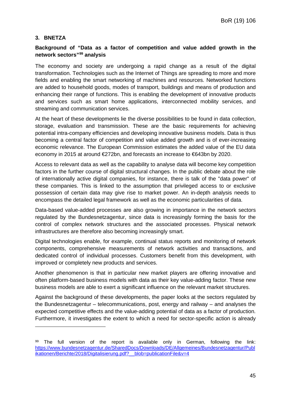### **3. BNETZA**

-

### **Background of "Data as a factor of competition and value added growth in the network sectors"[99](#page-44-0) analysis**

The economy and society are undergoing a rapid change as a result of the digital transformation. Technologies such as the Internet of Things are spreading to more and more fields and enabling the smart networking of machines and resources. Networked functions are added to household goods, modes of transport, buildings and means of production and enhancing their range of functions. This is enabling the development of innovative products and services such as smart home applications, interconnected mobility services, and streaming and communication services.

At the heart of these developments lie the diverse possibilities to be found in data collection, storage, evaluation and transmission. These are the basic requirements for achieving potential intra-company efficiencies and developing innovative business models. Data is thus becoming a central factor of competition and value added growth and is of ever-increasing economic relevance. The European Commission estimates the added value of the EU data economy in 2015 at around €272bn, and forecasts an increase to €643bn by 2020.

Access to relevant data as well as the capability to analyse data will become key competition factors in the further course of digital structural changes. In the public debate about the role of internationally active digital companies, for instance, there is talk of the "data power" of these companies. This is linked to the assumption that privileged access to or exclusive possession of certain data may give rise to market power. An in-depth analysis needs to encompass the detailed legal framework as well as the economic particularities of data.

Data-based value-added processes are also growing in importance in the network sectors regulated by the Bundesnetzagentur, since data is increasingly forming the basis for the control of complex network structures and the associated processes. Physical network infrastructures are therefore also becoming increasingly smart.

Digital technologies enable, for example, continual status reports and monitoring of network components, comprehensive measurements of network activities and transactions, and dedicated control of individual processes. Customers benefit from this development, with improved or completely new products and services.

Another phenomenon is that in particular new market players are offering innovative and often platform-based business models with data as their key value-adding factor. These new business models are able to exert a significant influence on the relevant market structures.

Against the background of these developments, the paper looks at the sectors regulated by the Bundesnetzagentur – telecommunications, post, energy and railway – and analyses the expected competitive effects and the value-adding potential of data as a factor of production. Furthermore, it investigates the extent to which a need for sector-specific action is already

<span id="page-44-0"></span> $99$  The full version of the report is available only in German, following the link: [https://www.bundesnetzagentur.de/SharedDocs/Downloads/DE/Allgemeines/Bundesnetzagentur/Publ](https://www.bundesnetzagentur.de/SharedDocs/Downloads/DE/Allgemeines/Bundesnetzagentur/Publikationen/Berichte/2018/Digitalisierung.pdf?__blob=publicationFile&v=4) [ikationen/Berichte/2018/Digitalisierung.pdf?\\_\\_blob=publicationFile&v=4](https://www.bundesnetzagentur.de/SharedDocs/Downloads/DE/Allgemeines/Bundesnetzagentur/Publikationen/Berichte/2018/Digitalisierung.pdf?__blob=publicationFile&v=4)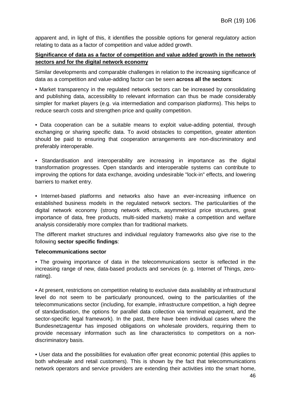apparent and, in light of this, it identifies the possible options for general regulatory action relating to data as a factor of competition and value added growth.

### **Significance of data as a factor of competition and value added growth in the network sectors and for the digital network economy**

Similar developments and comparable challenges in relation to the increasing significance of data as a competition and value-adding factor can be seen **across all the sectors**:

• Market transparency in the regulated network sectors can be increased by consolidating and publishing data, accessibility to relevant information can thus be made considerably simpler for market players (e.g. via intermediation and comparison platforms). This helps to reduce search costs and strengthen price and quality competition.

• Data cooperation can be a suitable means to exploit value-adding potential, through exchanging or sharing specific data. To avoid obstacles to competition, greater attention should be paid to ensuring that cooperation arrangements are non-discriminatory and preferably interoperable.

• Standardisation and interoperability are increasing in importance as the digital transformation progresses. Open standards and interoperable systems can contribute to improving the options for data exchange, avoiding undesirable "lock-in" effects, and lowering barriers to market entry.

• Internet-based platforms and networks also have an ever-increasing influence on established business models in the regulated network sectors. The particularities of the digital network economy (strong network effects, asymmetrical price structures, great importance of data, free products, multi-sided markets) make a competition and welfare analysis considerably more complex than for traditional markets.

The different market structures and individual regulatory frameworks also give rise to the following **sector specific findings**:

### **Telecommunications sector**

• The growing importance of data in the telecommunications sector is reflected in the increasing range of new, data-based products and services (e. g. Internet of Things, zerorating).

• At present, restrictions on competition relating to exclusive data availability at infrastructural level do not seem to be particularly pronounced, owing to the particularities of the telecommunications sector (including, for example, infrastructure competition, a high degree of standardisation, the options for parallel data collection via terminal equipment, and the sector-specific legal framework). In the past, there have been individual cases where the Bundesnetzagentur has imposed obligations on wholesale providers, requiring them to provide necessary information such as line characteristics to competitors on a nondiscriminatory basis.

• User data and the possibilities for evaluation offer great economic potential (this applies to both wholesale and retail customers). This is shown by the fact that telecommunications network operators and service providers are extending their activities into the smart home,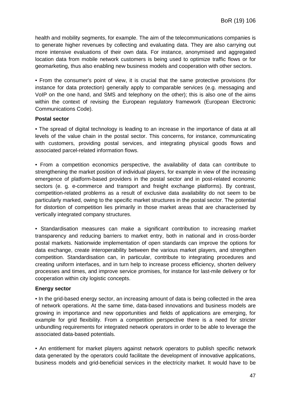health and mobility segments, for example. The aim of the telecommunications companies is to generate higher revenues by collecting and evaluating data. They are also carrying out more intensive evaluations of their own data. For instance, anonymised and aggregated location data from mobile network customers is being used to optimize traffic flows or for geomarketing, thus also enabling new business models and cooperation with other sectors.

• From the consumer's point of view, it is crucial that the same protective provisions (for instance for data protection) generally apply to comparable services (e.g. messaging and VoIP on the one hand, and SMS and telephony on the other); this is also one of the aims within the context of revising the European regulatory framework (European Electronic Communications Code).

#### **Postal sector**

• The spread of digital technology is leading to an increase in the importance of data at all levels of the value chain in the postal sector. This concerns, for instance, communicating with customers, providing postal services, and integrating physical goods flows and associated parcel-related information flows.

• From a competition economics perspective, the availability of data can contribute to strengthening the market position of individual players, for example in view of the increasing emergence of platform-based providers in the postal sector and in post-related economic sectors (e. g. e-commerce and transport and freight exchange platforms). By contrast, competition-related problems as a result of exclusive data availability do not seem to be particularly marked, owing to the specific market structures in the postal sector. The potential for distortion of competition lies primarily in those market areas that are characterised by vertically integrated company structures.

• Standardisation measures can make a significant contribution to increasing market transparency and reducing barriers to market entry, both in national and in cross-border postal markets. Nationwide implementation of open standards can improve the options for data exchange, create interoperability between the various market players, and strengthen competition. Standardisation can, in particular, contribute to integrating procedures and creating uniform interfaces, and in turn help to increase process efficiency, shorten delivery processes and times, and improve service promises, for instance for last-mile delivery or for cooperation within city logistic concepts.

### **Energy sector**

• In the grid-based energy sector, an increasing amount of data is being collected in the area of network operations. At the same time, data-based innovations and business models are growing in importance and new opportunities and fields of applications are emerging, for example for grid flexibility. From a competition perspective there is a need for stricter unbundling requirements for integrated network operators in order to be able to leverage the associated data-based potentials.

• An entitlement for market players against network operators to publish specific network data generated by the operators could facilitate the development of innovative applications, business models and grid-beneficial services in the electricity market. It would have to be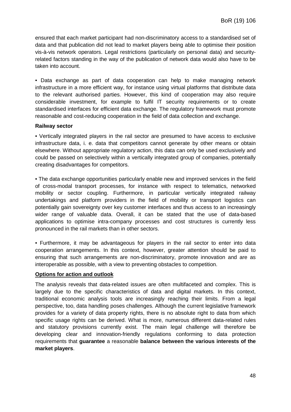ensured that each market participant had non-discriminatory access to a standardised set of data and that publication did not lead to market players being able to optimise their position vis-à-vis network operators. Legal restrictions (particularly on personal data) and securityrelated factors standing in the way of the publication of network data would also have to be taken into account.

• Data exchange as part of data cooperation can help to make managing network infrastructure in a more efficient way, for instance using virtual platforms that distribute data to the relevant authorised parties. However, this kind of cooperation may also require considerable investment, for example to fulfil IT security requirements or to create standardised interfaces for efficient data exchange. The regulatory framework must promote reasonable and cost-reducing cooperation in the field of data collection and exchange.

### **Railway sector**

• Vertically integrated players in the rail sector are presumed to have access to exclusive infrastructure data, i. e. data that competitors cannot generate by other means or obtain elsewhere. Without appropriate regulatory action, this data can only be used exclusively and could be passed on selectively within a vertically integrated group of companies, potentially creating disadvantages for competitors.

• The data exchange opportunities particularly enable new and improved services in the field of cross-modal transport processes, for instance with respect to telematics, networked mobility or sector coupling. Furthermore, in particular vertically integrated railway undertakings and platform providers in the field of mobility or transport logistics can potentially gain sovereignty over key customer interfaces and thus access to an increasingly wider range of valuable data. Overall, it can be stated that the use of data-based applications to optimise intra-company processes and cost structures is currently less pronounced in the rail markets than in other sectors.

• Furthermore, it may be advantageous for players in the rail sector to enter into data cooperation arrangements. In this context, however, greater attention should be paid to ensuring that such arrangements are non-discriminatory, promote innovation and are as interoperable as possible, with a view to preventing obstacles to competition.

### **Options for action and outlook**

The analysis reveals that data-related issues are often multifaceted and complex. This is largely due to the specific characteristics of data and digital markets. In this context, traditional economic analysis tools are increasingly reaching their limits. From a legal perspective, too, data handling poses challenges. Although the current legislative framework provides for a variety of data property rights, there is no absolute right to data from which specific usage rights can be derived. What is more, numerous different data-related rules and statutory provisions currently exist. The main legal challenge will therefore be developing clear and innovation-friendly regulations conforming to data protection requirements that **guarantee** a reasonable **balance between the various interests of the market players**.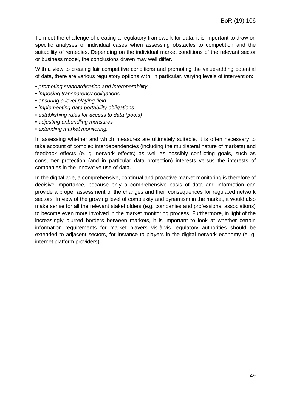To meet the challenge of creating a regulatory framework for data, it is important to draw on specific analyses of individual cases when assessing obstacles to competition and the suitability of remedies. Depending on the individual market conditions of the relevant sector or business model, the conclusions drawn may well differ.

With a view to creating fair competitive conditions and promoting the value-adding potential of data, there are various regulatory options with, in particular, varying levels of intervention:

- *promoting standardisation and interoperability*
- *imposing transparency obligations*
- *ensuring a level playing field*
- *implementing data portability obligations*
- *establishing rules for access to data (pools)*
- *adjusting unbundling measures*
- *extending market monitoring.*

In assessing whether and which measures are ultimately suitable, it is often necessary to take account of complex interdependencies (including the multilateral nature of markets) and feedback effects (e. g. network effects) as well as possibly conflicting goals, such as consumer protection (and in particular data protection) interests versus the interests of companies in the innovative use of data.

In the digital age, a comprehensive, continual and proactive market monitoring is therefore of decisive importance, because only a comprehensive basis of data and information can provide a proper assessment of the changes and their consequences for regulated network sectors. In view of the growing level of complexity and dynamism in the market, it would also make sense for all the relevant stakeholders (e.g. companies and professional associations) to become even more involved in the market monitoring process. Furthermore, in light of the increasingly blurred borders between markets, it is important to look at whether certain information requirements for market players vis-à-vis regulatory authorities should be extended to adjacent sectors, for instance to players in the digital network economy (e. g. internet platform providers).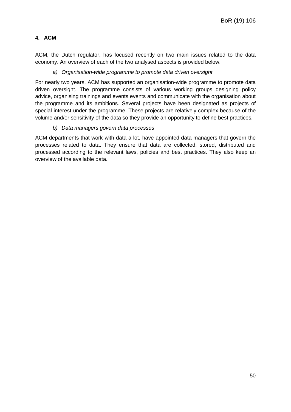# **4. ACM**

ACM, the Dutch regulator, has focused recently on two main issues related to the data economy. An overview of each of the two analysed aspects is provided below.

### *a) Organisation-wide programme to promote data driven oversight*

For nearly two years, ACM has supported an organisation-wide programme to promote data driven oversight. The programme consists of various working groups designing policy advice, organising trainings and events events and communicate with the organisation about the programme and its ambitions. Several projects have been designated as projects of special interest under the programme. These projects are relatively complex because of the volume and/or sensitivity of the data so they provide an opportunity to define best practices.

### *b) Data managers govern data processes*

ACM departments that work with data a lot, have appointed data managers that govern the processes related to data. They ensure that data are collected, stored, distributed and processed according to the relevant laws, policies and best practices. They also keep an overview of the available data.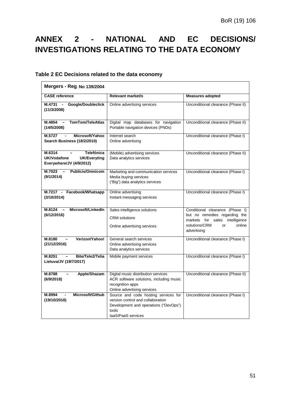# <span id="page-50-0"></span>**ANNEX 2 - NATIONAL AND EC DECISIONS/ INVESTIGATIONS RELATING TO THE DATA ECONOMY**

## **Table 2 EC Decisions related to the data economy**

| Mergers - Reg. No 139/2004                                                                    |                                                                                                                                                   |                                                                                                                                                    |  |  |  |
|-----------------------------------------------------------------------------------------------|---------------------------------------------------------------------------------------------------------------------------------------------------|----------------------------------------------------------------------------------------------------------------------------------------------------|--|--|--|
| <b>CASE</b> reference                                                                         | <b>Relevant market/s</b>                                                                                                                          | <b>Measures adopted</b>                                                                                                                            |  |  |  |
| M.4731<br>Google/Doubleclick<br>$\overline{\phantom{a}}$<br>(11/3/2008)                       | Online advertising services                                                                                                                       | Unconditional clearance (Phase II)                                                                                                                 |  |  |  |
| <b>TomTom/TeleAtlas</b><br>$M.4854 -$<br>(14/5/2008)                                          | Digital map databases for navigation<br>Portable navigation devices (PNDs)                                                                        | Unconditional clearance (Phase II)                                                                                                                 |  |  |  |
| M.5727<br>Microsoft/Yahoo<br>Search Business (18/2/2010)                                      | Internet search<br>Online advertising                                                                                                             | Unconditional clearance (Phase I)                                                                                                                  |  |  |  |
| <b>Telefónica</b><br>M.6314<br>UK/Vodafone<br><b>UK/Everyting</b><br>Everywhere/JV (4/9/2012) | (Mobile) advertising services<br>Data analytics services                                                                                          | Unconditional clearance (Phase II)                                                                                                                 |  |  |  |
| M.7023<br><b>Publicis/Omnicom</b><br>$\sim$<br>(9/1/2014)                                     | Marketing and communication services<br>Media buying services<br>("Big") data analytics services                                                  | Unconditional clearance (Phase I)                                                                                                                  |  |  |  |
| M.7217 - Facebook/Whatsapp<br>(3/10/2014)                                                     | Online advertising<br>Instant messaging services                                                                                                  | Unconditional clearance (Phase I)                                                                                                                  |  |  |  |
| Microsoft/LinkedIn<br>M.8124<br>(6/12/2016)                                                   | Sales intelligence solutions<br><b>CRM</b> solutions<br>Online advertising services                                                               | Conditional clearance (Phase I)<br>but no remedies regarding the<br>markets for sales intelligence<br>solutions/CRM<br>online<br>or<br>advertising |  |  |  |
| Verizon/Yahoo!<br>M.8180<br>$\overline{\phantom{0}}$<br>(21/12/2016)                          | General search services<br>Online advertising services<br>Data analytics services                                                                 | Unconditional clearance (Phase I)                                                                                                                  |  |  |  |
| M.8251<br>Bite/Tele2/Telia<br>$\overline{\phantom{0}}$<br>Lietuva/JV (19/7/2017)              | Mobile payment services                                                                                                                           | Unconditional clearance (Phase I)                                                                                                                  |  |  |  |
| M.8788<br>Apple/Shazam<br>(6/9/2018)                                                          | Digital music distribution services<br>ACR software solutions, including music<br>recognition apps<br>Online advertising services                 | Unconditional clearance (Phase II)                                                                                                                 |  |  |  |
| Microsoft/Github<br>M.8994<br>(19/10/2018)                                                    | Source and code hosting services for<br>version control and collaboration<br>Development and operations ("DevOps")<br>tools<br>laaS/PaaS services | Unconditional clearance (Phase I)                                                                                                                  |  |  |  |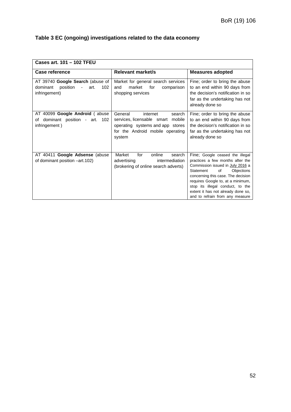| Cases art. 101 - 102 TFEU                                                                |                                                                                                                                                      |                                                                                                                                                                                                                                                                                                                                  |  |  |  |  |
|------------------------------------------------------------------------------------------|------------------------------------------------------------------------------------------------------------------------------------------------------|----------------------------------------------------------------------------------------------------------------------------------------------------------------------------------------------------------------------------------------------------------------------------------------------------------------------------------|--|--|--|--|
| <b>Case reference</b>                                                                    | <b>Relevant market/s</b>                                                                                                                             | <b>Measures adopted</b>                                                                                                                                                                                                                                                                                                          |  |  |  |  |
| AT 39740 Google Search (abuse of<br>102<br>dominant<br>position<br>art.<br>infringement) | Market for general search services<br>market<br>and<br>for<br>comparison<br>shopping services                                                        | Fine; order to bring the abuse<br>to an end within 90 days from<br>the decision's notification in so<br>far as the undertaking has not<br>already done so                                                                                                                                                                        |  |  |  |  |
| AT 40099 Google Android (abuse<br>dominant position - art. 102<br>οf<br>infringement)    | General<br>search<br>internet<br>services, licensable smart mobile<br>operating systems and app stores<br>for the Android mobile operating<br>system | Fine; order to bring the abuse<br>to an end within 90 days from<br>the decision's notification in so<br>far as the undertaking has not<br>already done so                                                                                                                                                                        |  |  |  |  |
| AT 40411 Google Adsense (abuse<br>of dominant position -art.102)                         | Market<br>for<br>online<br>search<br>advertising<br>intermediation<br>(brokering of online search adverts)                                           | Fine; Google ceased the illegal<br>practices a few months after the<br>Commission issued in July 2016 a<br>Objections<br>Statement<br>of<br>concerning this case. The decision<br>requires Google to, at a minimum,<br>stop its illegal conduct, to the<br>extent it has not already done so,<br>and to refrain from any measure |  |  |  |  |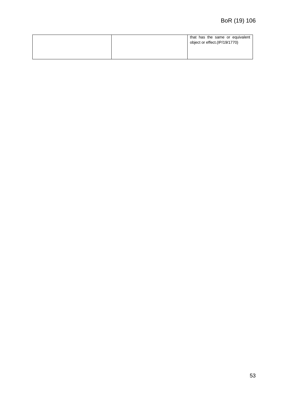| object or effect. (IP/19/1770) | that has the same or equivalent |  |  |  |
|--------------------------------|---------------------------------|--|--|--|
|--------------------------------|---------------------------------|--|--|--|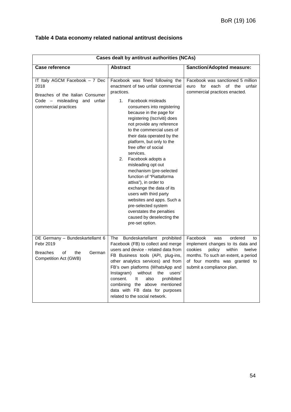|  | Table 4 Data economy related national antitrust decisions |
|--|-----------------------------------------------------------|
|--|-----------------------------------------------------------|

|                                                                                                                                    | <b>Cases dealt by antitrust authorities (NCAs)</b>                                                                                                                                                                                                                                                                                                                                                                                                                                                                                                                                                                                                                                        |                                                                                                                                                                                                                     |  |
|------------------------------------------------------------------------------------------------------------------------------------|-------------------------------------------------------------------------------------------------------------------------------------------------------------------------------------------------------------------------------------------------------------------------------------------------------------------------------------------------------------------------------------------------------------------------------------------------------------------------------------------------------------------------------------------------------------------------------------------------------------------------------------------------------------------------------------------|---------------------------------------------------------------------------------------------------------------------------------------------------------------------------------------------------------------------|--|
| Case reference                                                                                                                     | <b>Abstract</b>                                                                                                                                                                                                                                                                                                                                                                                                                                                                                                                                                                                                                                                                           | <b>Sanction/Adopted measure:</b>                                                                                                                                                                                    |  |
| IT Italy AGCM Facebook - 7 Dec<br>2018<br>Breaches of the Italian Consumer<br>Code - misleading and unfair<br>commercial practices | Facebook was fined following the<br>enactment of two unfair commercial<br>practices.<br>1.<br>Facebook misleads<br>consumers into registering<br>because in the page for<br>registering (Iscriviti) does<br>not provide any reference<br>to the commercial uses of<br>their data operated by the<br>platform, but only to the<br>free offer of social<br>services.<br>2.<br>Facebook adopts a<br>misleading opt out<br>mechanism (pre-selected<br>function of "Piattaforma<br>attiva"), in order to<br>exchange the data of its<br>users with third party<br>websites and apps. Such a<br>pre-selected system<br>overstates the penalties<br>caused by deselecting the<br>pre-set option. | Facebook was sanctioned 5 million<br>euro for<br>each of the unfair<br>commercial practices enacted.                                                                                                                |  |
| DE Germany - Bundeskartellamt 6<br>Febr 2019<br><b>Breaches</b><br>of<br>German<br>the<br>Competition Act (GWB)                    | Bundeskartellamt prohibited<br>The<br>Facebook (FB) to collect and merge<br>users and device - related data from<br>FB Business tools (API, plug-ins,<br>other analytics services) and from<br>FB's own platforms (WhatsApp and<br>Instagram)<br>without<br>users'<br>the<br>It<br>prohibited<br>consent.<br>also<br>combining the above mentioned<br>data with FB data for purposes<br>related to the social network.                                                                                                                                                                                                                                                                    | Facebook<br>ordered<br>was<br>to<br>implement changes to its data and<br>within<br>cookies<br>policy<br>twelve<br>months. To such an extent, a period<br>of four months was granted to<br>submit a compliance plan. |  |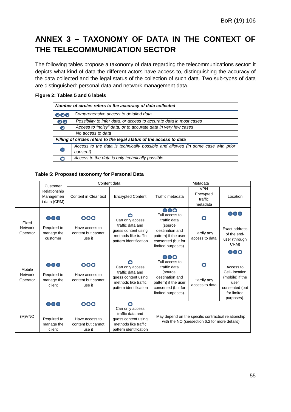# <span id="page-54-0"></span>**ANNEX 3 – TAXONOMY OF DATA IN THE CONTEXT OF THE TELECOMMUNICATION SECTOR**

The following tables propose a taxonomy of data regarding the telecommunications sector: it depicts what kind of data the different actors have access to, distinguishing the accuracy of the data collected and the legal status of the collection of such data. Two sub-types of data are distinguished: personal data and network management data.

### **Figure 2: Tables 5 and 6 labels**

| Number of circles refers to the accuracy of data collected          |                                                                                             |  |  |  |  |
|---------------------------------------------------------------------|---------------------------------------------------------------------------------------------|--|--|--|--|
| ೦೦೦                                                                 | Comprehensive access to detailed data                                                       |  |  |  |  |
| 00                                                                  | Possibility to infer data, or access to accurate data in most cases                         |  |  |  |  |
| ◙                                                                   | Access to "noisy" data, or to accurate data in very few cases                               |  |  |  |  |
|                                                                     | No access to data                                                                           |  |  |  |  |
| Filling of circles refers to the legal status of the access to data |                                                                                             |  |  |  |  |
|                                                                     | Access to the data is technically possible and allowed (in some case with prior<br>consent) |  |  |  |  |
|                                                                     | Access to the data is only technically possible                                             |  |  |  |  |

### **Table 5: Proposed taxonomy for Personal Data**

|                                      | Customer                                     | Content data                                          |                                                                                                                   | Metadata                                                                                                                                 |                                                                                                      |                                                                                                              |
|--------------------------------------|----------------------------------------------|-------------------------------------------------------|-------------------------------------------------------------------------------------------------------------------|------------------------------------------------------------------------------------------------------------------------------------------|------------------------------------------------------------------------------------------------------|--------------------------------------------------------------------------------------------------------------|
|                                      | Relationship<br>Managemen<br>t data (CRM)    | Content in Clear text                                 | <b>Encrypted Content</b>                                                                                          | Traffic metadata                                                                                                                         | <b>VPN</b><br>Encrypted<br>traffic<br>metadata                                                       | Location                                                                                                     |
| Fixed<br><b>Network</b><br>Operator  | 000<br>Required to<br>manage the<br>customer | 000<br>Have access to<br>content but cannot<br>use it | Can only access<br>traffic data and<br>quess content using<br>methods like traffic<br>pattern identification      | 000<br>Full access to<br>traffic data<br>(source,<br>destination and<br>pattern) if the user<br>consented (but for<br>limited purposes). | O<br>Hardly any<br>access to data                                                                    | ooc<br>Exact address<br>of the end-<br>user (through<br>CRM)                                                 |
| Mobile<br><b>Network</b><br>Operator | 000<br>Required to<br>manage the<br>client   | 000<br>Have access to<br>content but cannot<br>use it | Can only access<br>traffic data and<br>guess content using<br>methods like traffic<br>pattern identification      | 000<br>Full access to<br>traffic data<br>(source,<br>destination and<br>pattern) if the user<br>consented (but for<br>limited purposes). | O<br>Hardly any<br>access to data                                                                    | 000<br>Access to<br>Cell- location<br>(mobile) if the<br>user<br>consented (but<br>for limited<br>purposes). |
| (M)VNO                               | 000<br>Required to<br>manage the<br>client   | 000<br>Have access to<br>content but cannot<br>use it | O<br>Can only access<br>traffic data and<br>guess content using<br>methods like traffic<br>pattern identification |                                                                                                                                          | May depend on the specific contractual relationship<br>with the NO (seesection 6.2 for more details) |                                                                                                              |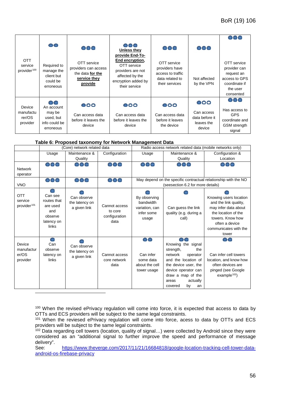|                                                  | 00                                                               | 000                                                                                | 000<br>Unless they<br>provide End-To-                                                                          | 000                                                                                     | 000                                                  |                                                                                                      |
|--------------------------------------------------|------------------------------------------------------------------|------------------------------------------------------------------------------------|----------------------------------------------------------------------------------------------------------------|-----------------------------------------------------------------------------------------|------------------------------------------------------|------------------------------------------------------------------------------------------------------|
| <b>OTT</b><br>service<br>provider <sup>100</sup> | Required to<br>manage the<br>client but<br>could be<br>erroneous | OTT service<br>providers can access<br>the data for the<br>service they<br>provide | End encryption,<br>OTT service<br>providers are not<br>affected by the<br>encryption added by<br>their service | OTT service<br>providers have<br>access to traffic<br>data related to<br>their services | Not affected<br>by the VPN                           | OTT service<br>provider can<br>request an<br>access to GPS<br>coordinate if<br>the user<br>consented |
| Device                                           | 00<br>An account                                                 | $\bullet$                                                                          | $\bullet$                                                                                                      | $\bullet$                                                                               | 000                                                  | 000                                                                                                  |
| manufactu<br>rer/OS<br>provider                  | may be<br>used, but<br>info could be<br>erroneous                | Can access data<br>before it leaves the<br>device                                  | Can access data<br>before it leaves the<br>device                                                              | Can access data<br>before it leaves<br>the device                                       | Can access<br>data before it<br>leaves the<br>device | Has access to<br><b>GPS</b><br>coordinate and<br><b>GSM</b> strength<br>signal                       |

#### **Table 6: Proposed taxonomy for Network Management Data**

|                                                  | (Core) network related data                                                 |                                               |                                                   | Radio access network related data (mobile networks only)                                             |                                                                                                                                                                                                      |                                                                                                                                                                        |  |
|--------------------------------------------------|-----------------------------------------------------------------------------|-----------------------------------------------|---------------------------------------------------|------------------------------------------------------------------------------------------------------|------------------------------------------------------------------------------------------------------------------------------------------------------------------------------------------------------|------------------------------------------------------------------------------------------------------------------------------------------------------------------------|--|
|                                                  | Usage                                                                       | Maintenance &                                 | Configuration                                     | Usage                                                                                                | Maintenance &                                                                                                                                                                                        | Configuration &                                                                                                                                                        |  |
|                                                  |                                                                             | Quality                                       |                                                   |                                                                                                      | Quality                                                                                                                                                                                              | Location                                                                                                                                                               |  |
| <b>Network</b><br>operator                       | 000                                                                         | 000                                           | 000                                               | 000                                                                                                  | 000                                                                                                                                                                                                  | 000                                                                                                                                                                    |  |
| <b>VNO</b>                                       | 000                                                                         | 000                                           | 000                                               | May depend on the specific contractual relationship with the NO<br>(seesection 6.2 for more details) |                                                                                                                                                                                                      |                                                                                                                                                                        |  |
| <b>OTT</b><br>service<br>provider <sup>101</sup> | Can see<br>routes that<br>are used<br>and<br>observe<br>latency on<br>links | Can observe<br>the latency on<br>a given link | Cannot access<br>to core<br>configuration<br>data | By observing<br>bandwidth<br>variation, can<br>infer some<br>usage                                   | Can guess the link<br>quality (e.g. during a<br>call)                                                                                                                                                | Knowing users location<br>and the link quality,<br>may infer data about<br>the location of the<br>towers. Know how<br>often a device<br>communicates with the<br>tower |  |
| Device<br>manufactur<br>er/OS<br>provider        | Can<br>observe<br>latency on<br>links                                       | Can observe<br>the latency on<br>a given link | Cannot access<br>core network<br>data             | $\bullet$<br>Can infer<br>some data<br>about the cell<br>tower usage                                 | Knowing the signal<br>strength,<br>the<br>network<br>operator<br>and the location of<br>the device user, the<br>device operator can<br>draw a map of the<br>actually<br>areas<br>by<br>covered<br>an | Can infer cell towers<br>location, and know how<br>often devices are<br>pinged (see Google<br>example <sup>102</sup> )                                                 |  |

<span id="page-55-0"></span><sup>100</sup> When the revised ePrivacy regulation will come into force, it is expected that access to data by OTTs and ECS providers will be subject to the same legal constraints.

<span id="page-55-1"></span><sup>101</sup> When the reviesed ePrivacy regulation will come into force, acess to data by OTTs and ECS providers will be subject to the same legal constraints.

<span id="page-55-2"></span><sup>102</sup> Data regarding cell towers (location, quality of signal…) were collected by Android since they were considered as an "additional signal to further improve the speed and performance of message delivery".

See: [https://www.theverge.com/2017/11/21/16684818/google-location-tracking-cell-tower-data](https://www.theverge.com/2017/11/21/16684818/google-location-tracking-cell-tower-data-android-os-firebase-privacy)[android-os-firebase-privacy](https://www.theverge.com/2017/11/21/16684818/google-location-tracking-cell-tower-data-android-os-firebase-privacy)